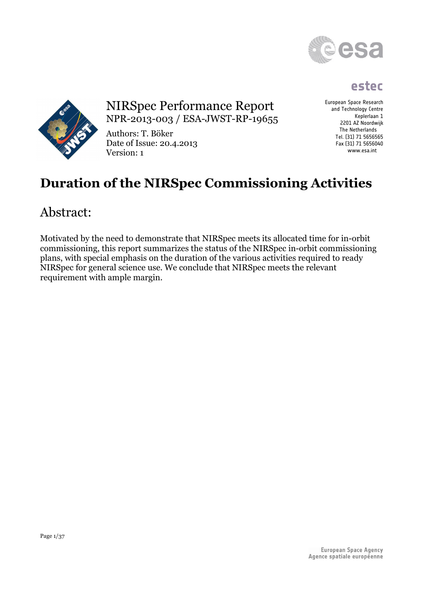

# **estec**



NIRSpec Performance Report NPR-2013-003 / ESA-JWST-RP-19655

Authors: T. Böker Date of Issue: 20.4.2013 Version: 1

European Space Research and Technology Centre Keplerlaan 1 2201 AZ Noordwijk The Netherlands Tel. (31) 71 5656565 Fax (31) 71 5656040 www.esa.int

# **Duration of the NIRSpec Commissioning Activities**

# Abstract:

Motivated by the need to demonstrate that NIRSpec meets its allocated time for in-orbit commissioning, this report summarizes the status of the NIRSpec in-orbit commissioning plans, with special emphasis on the duration of the various activities required to ready NIRSpec for general science use. We conclude that NIRSpec meets the relevant requirement with ample margin.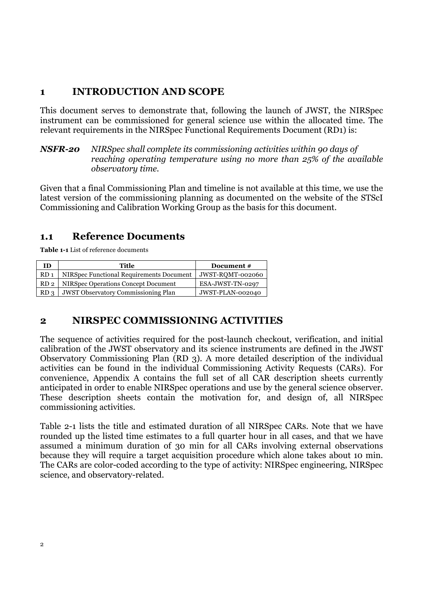# **1 INTRODUCTION AND SCOPE**

This document serves to demonstrate that, following the launch of JWST, the NIRSpec instrument can be commissioned for general science use within the allocated time. The relevant requirements in the NIRSpec Functional Requirements Document (RD1) is:

*NSFR-20 NIRSpec shall complete its commissioning activities within 90 days of reaching operating temperature using no more than 25% of the available observatory time.*

Given that a final Commissioning Plan and timeline is not available at this time, we use the latest version of the commissioning planning as documented on the website of the STScI Commissioning and Calibration Working Group as the basis for this document.

# **1.1 Reference Documents**

**Table 1-1** List of reference documents

| ΙD              | Title                                      | Document #       |
|-----------------|--------------------------------------------|------------------|
| RD <sub>1</sub> | NIRSpec Functional Requirements Document   | JWST-ROMT-002060 |
| RD <sub>2</sub> | NIRSpec Operations Concept Document        | ESA-JWST-TN-0297 |
| RD <sub>3</sub> | <b>JWST Observatory Commissioning Plan</b> | JWST-PLAN-002040 |

# **2 NIRSPEC COMMISSIONING ACTIVITIES**

The sequence of activities required for the post-launch checkout, verification, and initial calibration of the JWST observatory and its science instruments are defined in the JWST Observatory Commissioning Plan (RD 3). A more detailed description of the individual activities can be found in the individual Commissioning Activity Requests (CARs). For convenience, Appendix A contains the full set of all CAR description sheets currently anticipated in order to enable NIRSpec operations and use by the general science observer. These description sheets contain the motivation for, and design of, all NIRSpec commissioning activities.

Table 2-1 lists the title and estimated duration of all NIRSpec CARs. Note that we have rounded up the listed time estimates to a full quarter hour in all cases, and that we have assumed a minimum duration of 30 min for all CARs involving external observations because they will require a target acquisition procedure which alone takes about 10 min. The CARs are color-coded according to the type of activity: NIRSpec engineering, NIRSpec science, and observatory-related.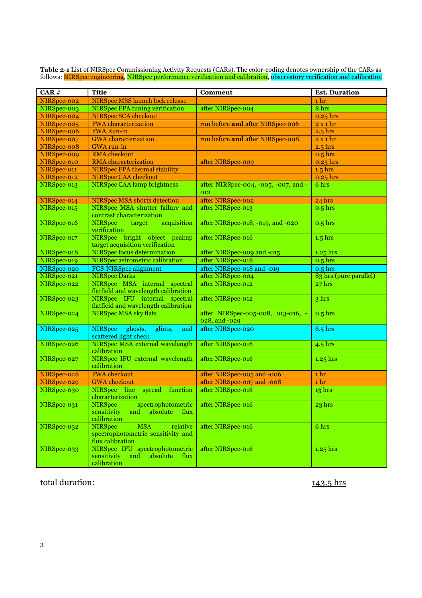**Table 2-1** List of NIRSpec Commissioning Activity Requests (CARs). The color-coding denotes ownership of the CARs as follows: NIRSpec engineering, NIRSpec performance verification and calibration, observatory verification and calibration

| $CAR$ #     | <b>Title</b>                                                                                              | Comment                                            | <b>Est. Duration</b>   |
|-------------|-----------------------------------------------------------------------------------------------------------|----------------------------------------------------|------------------------|
| NIRSpec-002 | NIRSpec MSS launch lock release                                                                           |                                                    | 1 hr                   |
| NIRSpec-003 | NIRSpec FPA tuning verification                                                                           | after NIRSpec-004                                  | 8 hrs                  |
| NIRSpec-004 | NIRSpec SCA checkout                                                                                      |                                                    | $0.25$ hrs             |
| NIRSpec-005 | <b>FWA</b> characterization                                                                               | run before and after NIRSpec-006                   | $2x1$ hr               |
| NIRSpec-006 | <b>FWA Run-in</b>                                                                                         |                                                    | $2.5$ hrs              |
| NIRSpec-007 | <b>GWA</b> characterization                                                                               | run before and after NIRSpec-008                   | $2x1$ hr               |
| NIRSpec-008 | <b>GWA</b> run-in                                                                                         |                                                    | $2.5$ hrs              |
| NIRSpec-009 | <b>RMA</b> checkout                                                                                       |                                                    | $0.5$ hrs              |
| NIRSpec-010 | <b>RMA</b> characterization                                                                               | after NIRSpec-009                                  | $0.25$ hrs             |
| NIRSpec-011 | <b>NIRSpec FPA thermal stability</b>                                                                      |                                                    | $1.5$ hrs              |
| NIRSpec-012 | <b>NIRSpec CAA checkout</b>                                                                               |                                                    | $0.25$ hrs             |
| NIRSpec-013 | <b>NIRSpec CAA lamp brightness</b>                                                                        | after NIRSpec-004, -005, -007, and -<br>012        | 6 hrs                  |
| NIRSpec-014 | <b>NIRSpec MSA shorts detection</b>                                                                       | after NIRSpec-002                                  | 24 hrs                 |
| NIRSpec-015 | NIRSpec MSA shutter failure and<br>contrast characterization                                              | after NIRSpec-013                                  | $0.5$ hrs              |
| NIRSpec-016 | <b>NIRSpec</b><br>target<br>acquisition<br>verification                                                   | after NIRSpec-018, -019, and -020                  | $0.5$ hrs              |
| NIRSpec-017 | NIRSpec bright object peakup<br>target acquisition verification                                           | after NIRSpec-016                                  | $1.5$ hrs              |
| NIRSpec-018 | NIRSpec focus determination                                                                               | after NIRSpec-009 and -015                         | $1.25$ hrs             |
| NIRSpec-019 | NIRSpec astrometric calibration                                                                           | after NIRSpec-018                                  | $0.5$ hrs              |
| NIRSpec-020 | <b>FGS-NIRSpec alignment</b>                                                                              | after NIRSpec-018 and -019                         | $0.5$ hrs              |
| NIRSpec-021 | <b>NIRSpec Darks</b>                                                                                      | after NIRSpec-004                                  | 83 hrs (pure parallel) |
| NIRSpec-022 | NIRSpec MSA internal spectral<br>flatfield and wavelength calibration                                     | after NIRSpec-012                                  | 27 hrs                 |
| NIRSpec-023 | NIRSpec IFU internal spectral<br>flatfield and wavelength calibration                                     | after NIRSpec-012                                  | 3 hrs                  |
| NIRSpec-024 | NIRSpec MSA sky flats                                                                                     | after NIRSpec-005-008, 013-016, -<br>028, and -029 | $0.5$ hrs              |
| NIRSpec-025 | <b>NIRSpec</b><br>ghosts,<br>glints,<br>and<br>scattered light check                                      | after NIRSpec-020                                  | $6.5$ hrs              |
| NIRSpec-026 | NIRSpec MSA external wavelength<br>calibration                                                            | after NIRSpec-016                                  | $4.5$ hrs              |
| NIRSpec-027 | NIRSpec IFU external wavelength<br>calibration                                                            | after NIRSpec-016                                  | 1.25 hrs               |
| NIRSpec-028 | <b>FWA</b> checkout                                                                                       | after NIRSpec-005 and -006                         | 1 hr                   |
| NIRSpec-029 | <b>GWA</b> checkout                                                                                       | after NIRSpec-007 and -008                         | 1 <sup>h</sup>         |
| NIRSpec-030 | spread function<br>NIRSpec line<br>characterization                                                       | after NIRSpec-016                                  | 13 hrs                 |
| NIRSpec-031 | spectrophotometric after NIRSpec-016<br><b>NIRSpec</b><br>sensitivity<br>and absolute flux<br>calibration |                                                    | 23 hrs                 |
| NIRSpec-032 | <b>MSA</b><br><b>NIRSpec</b><br>relative<br>spectrophotometric sensitivity and<br>flux calibration        | after NIRSpec-016                                  | 6 hrs                  |
| NIRSpec-033 | NIRSpec IFU spectrophotometric<br>sensitivity<br>and absolute flux<br>calibration                         | after NIRSpec-016                                  | $1.25$ hrs             |

total duration: 143.5 hrs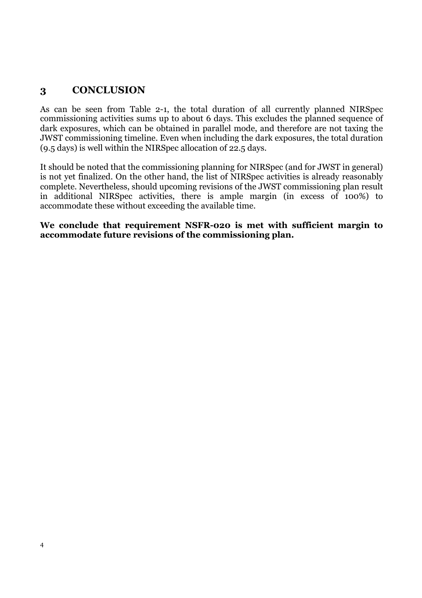# **3 CONCLUSION**

As can be seen from Table 2-1, the total duration of all currently planned NIRSpec commissioning activities sums up to about 6 days. This excludes the planned sequence of dark exposures, which can be obtained in parallel mode, and therefore are not taxing the JWST commissioning timeline. Even when including the dark exposures, the total duration (9.5 days) is well within the NIRSpec allocation of 22.5 days.

It should be noted that the commissioning planning for NIRSpec (and for JWST in general) is not yet finalized. On the other hand, the list of NIRSpec activities is already reasonably complete. Nevertheless, should upcoming revisions of the JWST commissioning plan result in additional NIRSpec activities, there is ample margin (in excess of 100%) to accommodate these without exceeding the available time.

**We conclude that requirement NSFR-020 is met with sufficient margin to accommodate future revisions of the commissioning plan.**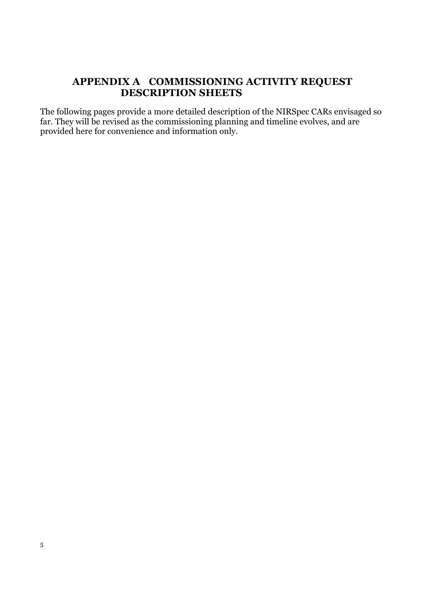# **APPENDIX A COMMISSIONING ACTIVITY REQUEST DESCRIPTION SHEETS**

The following pages provide a more detailed description of the NIRSpec CARs envisaged so far. They will be revised as the commissioning planning and timeline evolves, and are provided here for convenience and information only.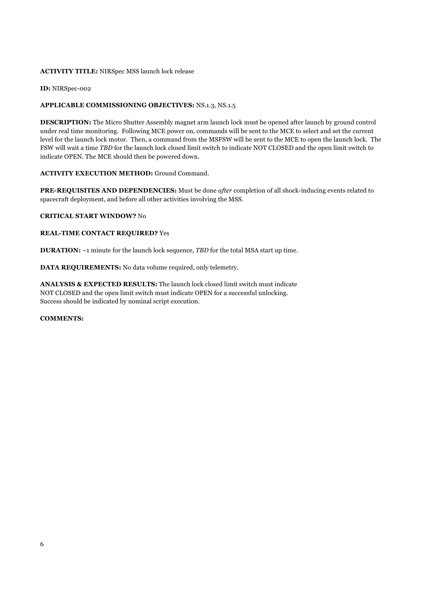# **ACTIVITY TITLE:** NIRSpec MSS launch lock release

**ID:** NIRSpec-002

# **APPLICABLE COMMISSIONING OBJECTIVES:** NS.1.3, NS.1.5

**DESCRIPTION:** The Micro Shutter Assembly magnet arm launch lock must be opened after launch by ground control under real time monitoring. Following MCE power on, commands will be sent to the MCE to select and set the current level for the launch lock motor. Then, a command from the MSFSW will be sent to the MCE to open the launch lock. The FSW will wait a time *TBD* for the launch lock closed limit switch to indicate NOT CLOSED and the open limit switch to indicate OPEN. The MCE should then be powered down.

# **ACTIVITY EXECUTION METHOD:** Ground Command.

**PRE-REQUISITES AND DEPENDENCIES:** Must be done *after* completion of all shock-inducing events related to spacecraft deployment, and before all other activities involving the MSS.

# **CRITICAL START WINDOW?** No

# **REAL-TIME CONTACT REQUIRED?** Yes

**DURATION:** ~1 minute for the launch lock sequence, *TBD* for the total MSA start up time.

**DATA REQUIREMENTS:** No data volume required, only telemetry.

**ANALYSIS & EXPECTED RESULTS:** The launch lock closed limit switch must indicate NOT CLOSED and the open limit switch must indicate OPEN for a successful unlocking. Success should be indicated by nominal script execution.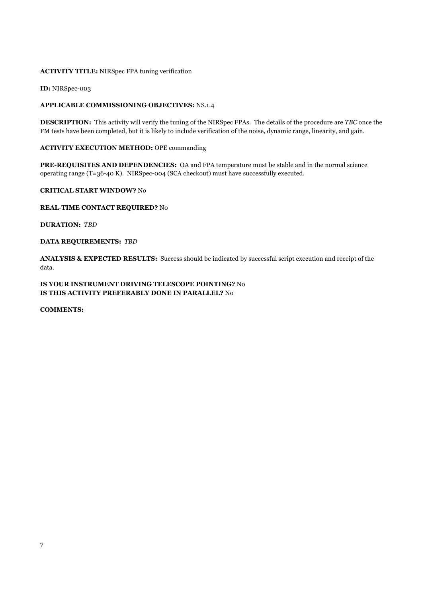# **ACTIVITY TITLE:** NIRSpec FPA tuning verification

**ID:** NIRSpec-003

# **APPLICABLE COMMISSIONING OBJECTIVES:** NS.1.4

**DESCRIPTION:** This activity will verify the tuning of the NIRSpec FPAs. The details of the procedure are *TBC* once the FM tests have been completed, but it is likely to include verification of the noise, dynamic range, linearity, and gain.

# **ACTIVITY EXECUTION METHOD:** OPE commanding

**PRE-REQUISITES AND DEPENDENCIES:** OA and FPA temperature must be stable and in the normal science operating range (T=36-40 K). NIRSpec-004 (SCA checkout) must have successfully executed.

# **CRITICAL START WINDOW?** No

# **REAL-TIME CONTACT REQUIRED?** No

**DURATION:** *TBD*

# **DATA REQUIREMENTS:** *TBD*

**ANALYSIS & EXPECTED RESULTS:** Success should be indicated by successful script execution and receipt of the data.

**IS YOUR INSTRUMENT DRIVING TELESCOPE POINTING?** No **IS THIS ACTIVITY PREFERABLY DONE IN PARALLEL?** No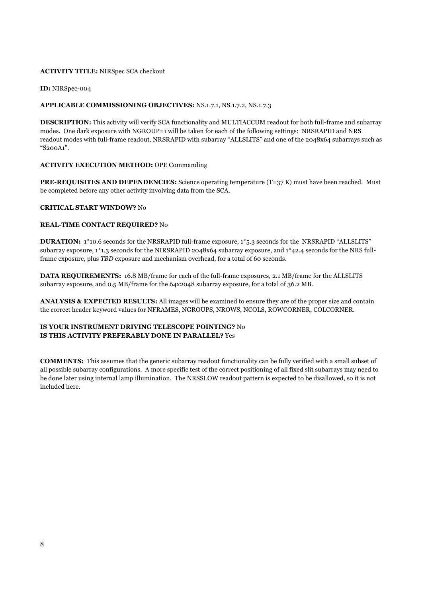# **ACTIVITY TITLE:** NIRSpec SCA checkout

**ID:** NIRSpec-004

# **APPLICABLE COMMISSIONING OBJECTIVES:** NS.1.7.1, NS.1.7.2, NS.1.7.3

**DESCRIPTION:** This activity will verify SCA functionality and MULTIACCUM readout for both full-frame and subarray modes. One dark exposure with NGROUP=1 will be taken for each of the following settings: NRSRAPID and NRS readout modes with full-frame readout, NRSRAPID with subarray "ALLSLITS" and one of the 2048x64 subarrays such as "S200A1".

# **ACTIVITY EXECUTION METHOD:** OPE Commanding

**PRE-REQUISITES AND DEPENDENCIES:** Science operating temperature (T=37 K) must have been reached. Must be completed before any other activity involving data from the SCA.

# **CRITICAL START WINDOW?** No

#### **REAL-TIME CONTACT REQUIRED?** No

**DURATION:** 1\*10.6 seconds for the NRSRAPID full-frame exposure, 1\*5.3 seconds for the NRSRAPID "ALLSLITS" subarray exposure, 1\*1.3 seconds for the NIRSRAPID 2048x64 subarray exposure, and 1\*42.4 seconds for the NRS fullframe exposure, plus *TBD* exposure and mechanism overhead, for a total of 60 seconds.

**DATA REQUIREMENTS:** 16.8 MB/frame for each of the full-frame exposures, 2.1 MB/frame for the ALLSLITS subarray exposure, and 0.5 MB/frame for the 64x2048 subarray exposure, for a total of 36.2 MB.

**ANALYSIS & EXPECTED RESULTS:** All images will be examined to ensure they are of the proper size and contain the correct header keyword values for NFRAMES, NGROUPS, NROWS, NCOLS, ROWCORNER, COLCORNER.

# **IS YOUR INSTRUMENT DRIVING TELESCOPE POINTING?** No **IS THIS ACTIVITY PREFERABLY DONE IN PARALLEL?** Yes

**COMMENTS:** This assumes that the generic subarray readout functionality can be fully verified with a small subset of all possible subarray configurations. A more specific test of the correct positioning of all fixed slit subarrays may need to be done later using internal lamp illumination. The NRSSLOW readout pattern is expected to be disallowed, so it is not included here.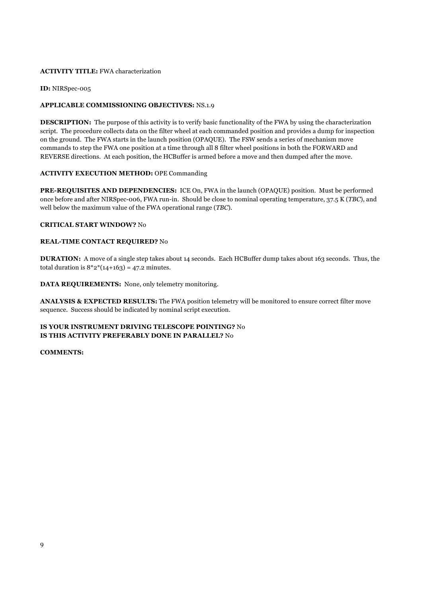# **ACTIVITY TITLE:** FWA characterization

**ID:** NIRSpec-005

# **APPLICABLE COMMISSIONING OBJECTIVES:** NS.1.9

**DESCRIPTION:** The purpose of this activity is to verify basic functionality of the FWA by using the characterization script. The procedure collects data on the filter wheel at each commanded position and provides a dump for inspection on the ground. The FWA starts in the launch position (OPAQUE). The FSW sends a series of mechanism move commands to step the FWA one position at a time through all 8 filter wheel positions in both the FORWARD and REVERSE directions. At each position, the HCBuffer is armed before a move and then dumped after the move.

# **ACTIVITY EXECUTION METHOD:** OPE Commanding

**PRE-REQUISITES AND DEPENDENCIES:** ICE On, FWA in the launch (OPAQUE) position. Must be performed once before and after NIRSpec-006, FWA run-in. Should be close to nominal operating temperature, 37.5 K (*TBC*), and well below the maximum value of the FWA operational range (*TBC*).

#### **CRITICAL START WINDOW?** No

# **REAL-TIME CONTACT REQUIRED?** No

**DURATION:** A move of a single step takes about 14 seconds. Each HCBuffer dump takes about 163 seconds. Thus, the total duration is  $8*2*(14+163) = 47.2$  minutes.

**DATA REQUIREMENTS:** None, only telemetry monitoring.

**ANALYSIS & EXPECTED RESULTS:** The FWA position telemetry will be monitored to ensure correct filter move sequence. Success should be indicated by nominal script execution.

# **IS YOUR INSTRUMENT DRIVING TELESCOPE POINTING?** No **IS THIS ACTIVITY PREFERABLY DONE IN PARALLEL?** No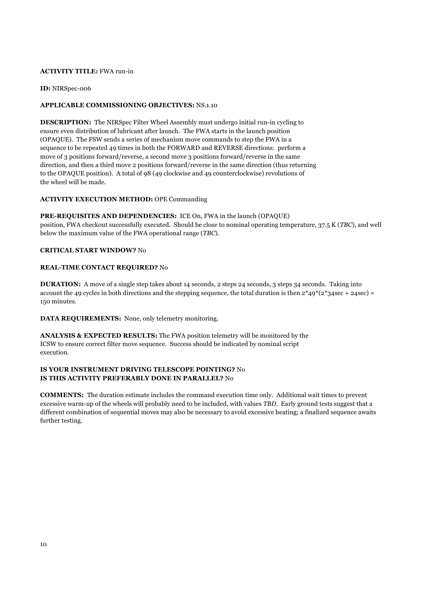### **ACTIVITY TITLE:** FWA run-in

**ID:** NIRSpec-006

# **APPLICABLE COMMISSIONING OBJECTIVES:** NS.1.10

**DESCRIPTION:** The NIRSpec Filter Wheel Assembly must undergo initial run-in cycling to ensure even distribution of lubricant after launch. The FWA starts in the launch position (OPAQUE). The FSW sends a series of mechanism move commands to step the FWA in a sequence to be repeated 49 times in both the FORWARD and REVERSE directions: perform a move of 3 positions forward/reverse, a second move 3 positions forward/reverse in the same direction, and then a third move 2 positions forward/reverse in the same direction (thus returning to the OPAQUE position). A total of 98 (49 clockwise and 49 counterclockwise) revolutions of the wheel will be made.

# **ACTIVITY EXECUTION METHOD:** OPE Commanding

**PRE-REQUISITES AND DEPENDENCIES:** ICE On, FWA in the launch (OPAQUE) position, FWA checkout successfully executed. Should be close to nominal operating temperature, 37.5 K (*TBC*), and well below the maximum value of the FWA operational range (*TBC*).

# **CRITICAL START WINDOW?** No

# **REAL-TIME CONTACT REQUIRED?** No

**DURATION:** A move of a single step takes about 14 seconds, 2 steps 24 seconds, 3 steps 34 seconds. Taking into account the 49 cycles in both directions and the stepping sequence, the total duration is then  $2*49*(2*34sec + 24sec) =$ 150 minutes.

**DATA REQUIREMENTS:** None, only telemetry monitoring.

**ANALYSIS & EXPECTED RESULTS:** The FWA position telemetry will be monitored by the ICSW to ensure correct filter move sequence. Success should be indicated by nominal script execution.

# **IS YOUR INSTRUMENT DRIVING TELESCOPE POINTING?** No **IS THIS ACTIVITY PREFERABLY DONE IN PARALLEL?** No

**COMMENTS:** The duration estimate includes the command execution time only. Additional wait times to prevent excessive warm-up of the wheels will probably need to be included, with values *TBD*. Early ground tests suggest that a different combination of sequential moves may also be necessary to avoid excessive heating; a finalized sequence awaits further testing.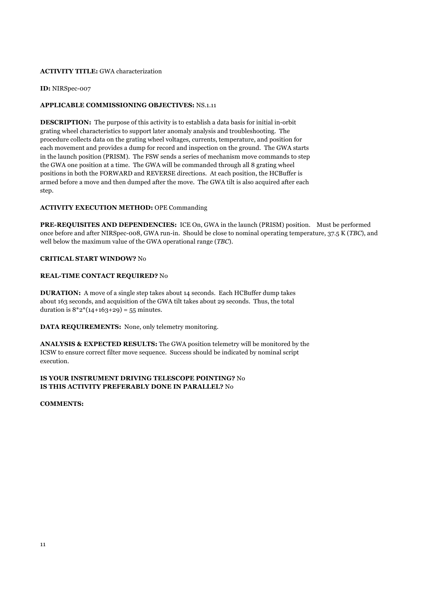# **ACTIVITY TITLE:** GWA characterization

**ID:** NIRSpec-007

# **APPLICABLE COMMISSIONING OBJECTIVES:** NS.1.11

**DESCRIPTION:** The purpose of this activity is to establish a data basis for initial in-orbit grating wheel characteristics to support later anomaly analysis and troubleshooting. The procedure collects data on the grating wheel voltages, currents, temperature, and position for each movement and provides a dump for record and inspection on the ground. The GWA starts in the launch position (PRISM). The FSW sends a series of mechanism move commands to step the GWA one position at a time. The GWA will be commanded through all 8 grating wheel positions in both the FORWARD and REVERSE directions. At each position, the HCBuffer is armed before a move and then dumped after the move. The GWA tilt is also acquired after each step.

# **ACTIVITY EXECUTION METHOD:** OPE Commanding

**PRE-REQUISITES AND DEPENDENCIES:** ICE On, GWA in the launch (PRISM) position. Must be performed once before and after NIRSpec-008, GWA run-in. Should be close to nominal operating temperature, 37.5 K (*TBC*), and well below the maximum value of the GWA operational range (*TBC*).

# **CRITICAL START WINDOW?** No

# **REAL-TIME CONTACT REQUIRED?** No

**DURATION:** A move of a single step takes about 14 seconds. Each HCBuffer dump takes about 163 seconds, and acquisition of the GWA tilt takes about 29 seconds. Thus, the total duration is  $8*2*(14+163+29) = 55$  minutes.

**DATA REQUIREMENTS:** None, only telemetry monitoring.

**ANALYSIS & EXPECTED RESULTS:** The GWA position telemetry will be monitored by the ICSW to ensure correct filter move sequence. Success should be indicated by nominal script execution.

# **IS YOUR INSTRUMENT DRIVING TELESCOPE POINTING?** No **IS THIS ACTIVITY PREFERABLY DONE IN PARALLEL?** No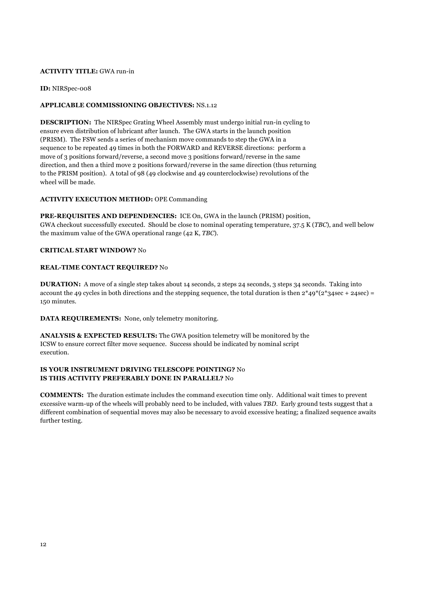### **ACTIVITY TITLE:** GWA run-in

**ID:** NIRSpec-008

# **APPLICABLE COMMISSIONING OBJECTIVES:** NS.1.12

**DESCRIPTION:** The NIRSpec Grating Wheel Assembly must undergo initial run-in cycling to ensure even distribution of lubricant after launch. The GWA starts in the launch position (PRISM). The FSW sends a series of mechanism move commands to step the GWA in a sequence to be repeated 49 times in both the FORWARD and REVERSE directions: perform a move of 3 positions forward/reverse, a second move 3 positions forward/reverse in the same direction, and then a third move 2 positions forward/reverse in the same direction (thus returning to the PRISM position). A total of 98 (49 clockwise and 49 counterclockwise) revolutions of the wheel will be made.

# **ACTIVITY EXECUTION METHOD:** OPE Commanding

**PRE-REQUISITES AND DEPENDENCIES:** ICE On, GWA in the launch (PRISM) position, GWA checkout successfully executed. Should be close to nominal operating temperature, 37.5 K (*TBC*), and well below the maximum value of the GWA operational range (42 K, *TBC*).

# **CRITICAL START WINDOW?** No

# **REAL-TIME CONTACT REQUIRED?** No

**DURATION:** A move of a single step takes about 14 seconds, 2 steps 24 seconds, 3 steps 34 seconds. Taking into account the 49 cycles in both directions and the stepping sequence, the total duration is then  $2*49*(2*34sec + 24sec) =$ 150 minutes.

**DATA REQUIREMENTS:** None, only telemetry monitoring.

**ANALYSIS & EXPECTED RESULTS:** The GWA position telemetry will be monitored by the ICSW to ensure correct filter move sequence. Success should be indicated by nominal script execution.

# **IS YOUR INSTRUMENT DRIVING TELESCOPE POINTING?** No **IS THIS ACTIVITY PREFERABLY DONE IN PARALLEL?** No

**COMMENTS:** The duration estimate includes the command execution time only. Additional wait times to prevent excessive warm-up of the wheels will probably need to be included, with values *TBD*. Early ground tests suggest that a different combination of sequential moves may also be necessary to avoid excessive heating; a finalized sequence awaits further testing.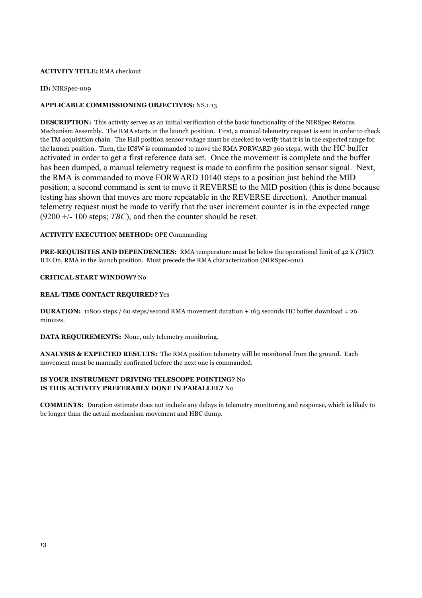# **ACTIVITY TITLE:** RMA checkout

**ID:** NIRSpec-009

# **APPLICABLE COMMISSIONING OBJECTIVES:** NS.1.13

**DESCRIPTION:** This activity serves as an initial verification of the basic functionality of the NIRSpec Refocus Mechanism Assembly. The RMA starts in the launch position. First, a manual telemetry request is sent in order to check the TM acquisition chain. The Hall position sensor voltage must be checked to verify that it is in the expected range for the launch position. Then, the ICSW is commanded to move the RMA FORWARD 360 steps, with the HC buffer activated in order to get a first reference data set. Once the movement is complete and the buffer has been dumped, a manual telemetry request is made to confirm the position sensor signal. Next, the RMA is commanded to move FORWARD 10140 steps to a position just behind the MID position; a second command is sent to move it REVERSE to the MID position (this is done because testing has shown that moves are more repeatable in the REVERSE direction). Another manual telemetry request must be made to verify that the user increment counter is in the expected range (9200 +/- 100 steps; *TBC*), and then the counter should be reset.

# **ACTIVITY EXECUTION METHOD:** OPE Commanding

**PRE-REQUISITES AND DEPENDENCIES:** RMA temperature must be below the operational limit of 42 K *(TBC)*. ICE On, RMA in the launch position. Must precede the RMA characterization (NIRSpec-010).

# **CRITICAL START WINDOW?** No

# **REAL-TIME CONTACT REQUIRED?** Yes

**DURATION:** 11800 steps / 60 steps/second RMA movement duration + 163 seconds HC buffer download = 26 minutes.

**DATA REQUIREMENTS:** None, only telemetry monitoring.

**ANALYSIS & EXPECTED RESULTS:** The RMA position telemetry will be monitored from the ground. Each movement must be manually confirmed before the next one is commanded.

# **IS YOUR INSTRUMENT DRIVING TELESCOPE POINTING?** No **IS THIS ACTIVITY PREFERABLY DONE IN PARALLEL?** No

**COMMENTS:** Duration estimate does not include any delays in telemetry monitoring and response, which is likely to be longer than the actual mechanism movement and HBC dump.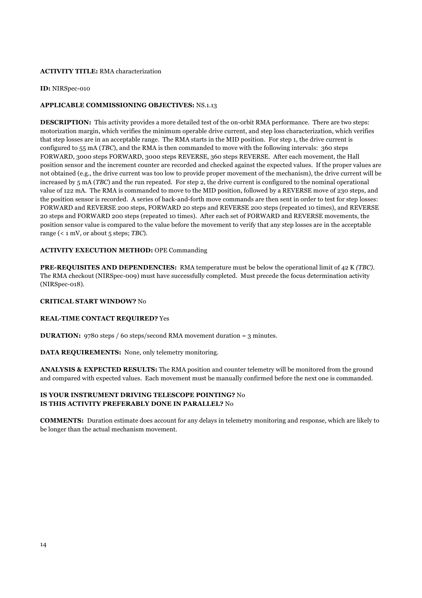# **ACTIVITY TITLE:** RMA characterization

#### **ID:** NIRSpec-010

# **APPLICABLE COMMISSIONING OBJECTIVES:** NS.1.13

**DESCRIPTION:** This activity provides a more detailed test of the on-orbit RMA performance. There are two steps: motorization margin, which verifies the minimum operable drive current, and step loss characterization, which verifies that step losses are in an acceptable range. The RMA starts in the MID position. For step 1, the drive current is configured to 55 mA (*TBC*), and the RMA is then commanded to move with the following intervals: 360 steps FORWARD, 3000 steps FORWARD, 3000 steps REVERSE, 360 steps REVERSE. After each movement, the Hall position sensor and the increment counter are recorded and checked against the expected values. If the proper values are not obtained (e.g., the drive current was too low to provide proper movement of the mechanism), the drive current will be increased by 5 mA (*TBC*) and the run repeated. For step 2, the drive current is configured to the nominal operational value of 122 mA. The RMA is commanded to move to the MID position, followed by a REVERSE move of 230 steps, and the position sensor is recorded. A series of back-and-forth move commands are then sent in order to test for step losses: FORWARD and REVERSE 200 steps, FORWARD 20 steps and REVERSE 200 steps (repeated 10 times), and REVERSE 20 steps and FORWARD 200 steps (repeated 10 times). After each set of FORWARD and REVERSE movements, the position sensor value is compared to the value before the movement to verify that any step losses are in the acceptable range (< 1 mV, or about 5 steps; *TBC*).

# **ACTIVITY EXECUTION METHOD:** OPE Commanding

**PRE-REQUISITES AND DEPENDENCIES:** RMA temperature must be below the operational limit of 42 K *(TBC)*. The RMA checkout (NIRSpec-009) must have successfully completed. Must precede the focus determination activity (NIRSpec-018).

# **CRITICAL START WINDOW?** No

# **REAL-TIME CONTACT REQUIRED?** Yes

**DURATION:** 9780 steps / 60 steps/second RMA movement duration = 3 minutes.

**DATA REQUIREMENTS:** None, only telemetry monitoring.

**ANALYSIS & EXPECTED RESULTS:** The RMA position and counter telemetry will be monitored from the ground and compared with expected values. Each movement must be manually confirmed before the next one is commanded.

#### **IS YOUR INSTRUMENT DRIVING TELESCOPE POINTING?** No **IS THIS ACTIVITY PREFERABLY DONE IN PARALLEL?** No

**COMMENTS:** Duration estimate does account for any delays in telemetry monitoring and response, which are likely to be longer than the actual mechanism movement.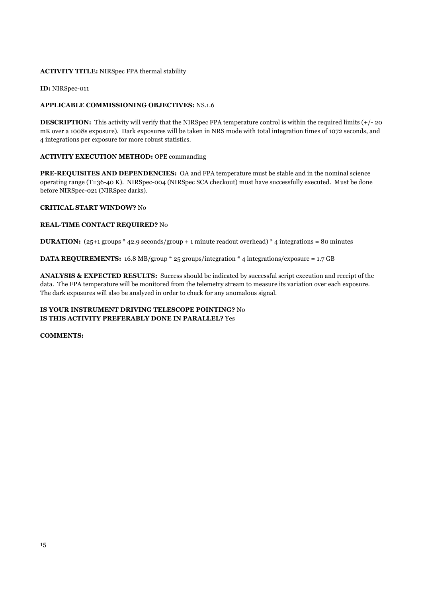# **ACTIVITY TITLE:** NIRSpec FPA thermal stability

**ID:** NIRSpec-011

# **APPLICABLE COMMISSIONING OBJECTIVES:** NS.1.6

**DESCRIPTION:** This activity will verify that the NIRSpec FPA temperature control is within the required limits (+/- 20) mK over a 1008s exposure). Dark exposures will be taken in NRS mode with total integration times of 1072 seconds, and 4 integrations per exposure for more robust statistics.

# **ACTIVITY EXECUTION METHOD:** OPE commanding

**PRE-REQUISITES AND DEPENDENCIES:** OA and FPA temperature must be stable and in the nominal science operating range (T=36-40 K). NIRSpec-004 (NIRSpec SCA checkout) must have successfully executed. Must be done before NIRSpec-021 (NIRSpec darks).

# **CRITICAL START WINDOW?** No

# **REAL-TIME CONTACT REQUIRED?** No

**DURATION:**  $(25+1 \text{ groups} * 42.9 \text{ seconds/group} + 1 \text{ minute readout overhead}) * 4 \text{ integrations} = 80 \text{ minutes}$ 

**DATA REQUIREMENTS:** 16.8 MB/group \* 25 groups/integration \* 4 integrations/exposure = 1.7 GB

**ANALYSIS & EXPECTED RESULTS:** Success should be indicated by successful script execution and receipt of the data. The FPA temperature will be monitored from the telemetry stream to measure its variation over each exposure. The dark exposures will also be analyzed in order to check for any anomalous signal.

# **IS YOUR INSTRUMENT DRIVING TELESCOPE POINTING?** No **IS THIS ACTIVITY PREFERABLY DONE IN PARALLEL?** Yes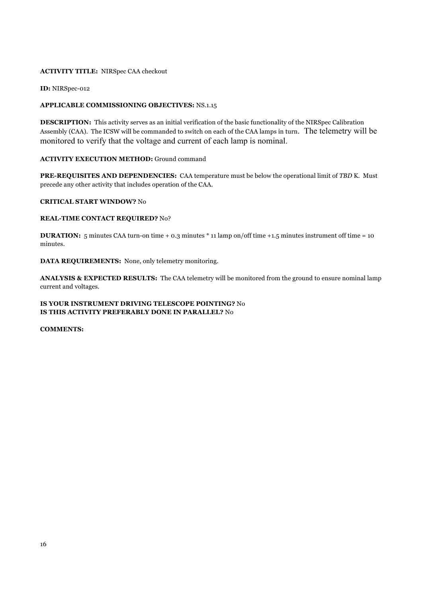# **ACTIVITY TITLE:** NIRSpec CAA checkout

**ID:** NIRSpec-012

# **APPLICABLE COMMISSIONING OBJECTIVES:** NS.1.15

**DESCRIPTION:** This activity serves as an initial verification of the basic functionality of the NIRSpec Calibration Assembly (CAA). The ICSW will be commanded to switch on each of the CAA lamps in turn. The telemetry will be monitored to verify that the voltage and current of each lamp is nominal.

# **ACTIVITY EXECUTION METHOD:** Ground command

**PRE-REQUISITES AND DEPENDENCIES:** CAA temperature must be below the operational limit of *TBD* K. Must precede any other activity that includes operation of the CAA.

# **CRITICAL START WINDOW?** No

# **REAL-TIME CONTACT REQUIRED?** No?

**DURATION:** 5 minutes CAA turn-on time + 0.3 minutes \* 11 lamp on/off time +1.5 minutes instrument off time = 10 minutes.

**DATA REQUIREMENTS:** None, only telemetry monitoring.

**ANALYSIS & EXPECTED RESULTS:** The CAA telemetry will be monitored from the ground to ensure nominal lamp current and voltages.

# **IS YOUR INSTRUMENT DRIVING TELESCOPE POINTING?** No **IS THIS ACTIVITY PREFERABLY DONE IN PARALLEL?** No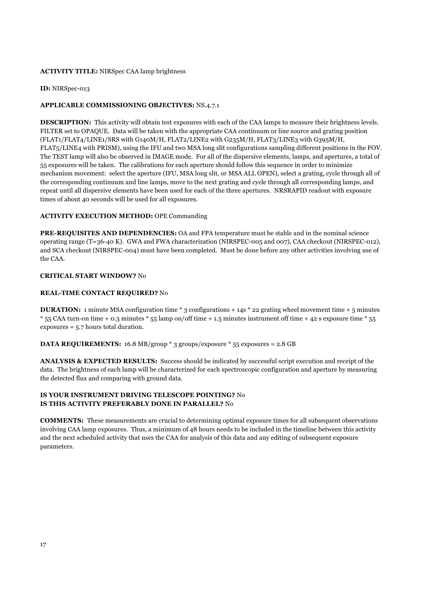# **ACTIVITY TITLE:** NIRSpec CAA lamp brightness

**ID:** NIRSpec-013

# **APPLICABLE COMMISSIONING OBJECTIVES:** NS.4.7.1

**DESCRIPTION:** This activity will obtain test exposures with each of the CAA lamps to measure their brightness levels. FILTER set to OPAQUE. Data will be taken with the appropriate CAA continuum or line source and grating position (FLAT1/FLAT4/LINE1/SRS with G140M/H, FLAT2/LINE2 with G235M/H, FLAT3/LINE3 with G395M/H, FLAT5/LINE4 with PRISM), using the IFU and two MSA long slit configurations sampling different positions in the FOV. The TEST lamp will also be observed in IMAGE mode. For all of the dispersive elements, lamps, and apertures, a total of 55 exposures will be taken. The calibrations for each aperture should follow this sequence in order to minimize mechanism movement: select the aperture (IFU, MSA long slit, or MSA ALL OPEN), select a grating, cycle through all of the corresponding continuum and line lamps, move to the next grating and cycle through all corresponding lamps, and repeat until all dispersive elements have been used for each of the three apertures. NRSRAPID readout with exposure times of about 40 seconds will be used for all exposures.

# **ACTIVITY EXECUTION METHOD:** OPE Commanding

**PRE-REQUISITES AND DEPENDENCIES:** OA and FPA temperature must be stable and in the nominal science operating range (T=36-40 K). GWA and FWA characterization (NIRSPEC-005 and 007), CAA checkout (NIRSPEC-012), and SCA checkout (NIRSPEC-004) must have been completed. Must be done before any other activities involving use of the CAA.

# **CRITICAL START WINDOW?** No

# **REAL-TIME CONTACT REQUIRED?** No

**DURATION:** 1 minute MSA configuration time  $*$  3 configurations + 14s  $*$  22 grating wheel movement time + 5 minutes  $*$  55 CAA turn-on time + 0.3 minutes  $*$  55 lamp on/off time + 1.5 minutes instrument off time + 42 s exposure time  $*$  55 exposures = 5.7 hours total duration.

**DATA REQUIREMENTS:** 16.8 MB/group \* 3 groups/exposure \* 55 exposures = 2.8 GB

**ANALYSIS & EXPECTED RESULTS:** Success should be indicated by successful script execution and receipt of the data. The brightness of each lamp will be characterized for each spectroscopic configuration and aperture by measuring the detected flux and comparing with ground data.

# **IS YOUR INSTRUMENT DRIVING TELESCOPE POINTING?** No **IS THIS ACTIVITY PREFERABLY DONE IN PARALLEL?** No

**COMMENTS:** These measurements are crucial to determining optimal exposure times for all subsequent observations involving CAA lamp exposures. Thus, a minimum of 48 hours needs to be included in the timeline between this activity and the next scheduled activity that uses the CAA for analysis of this data and any editing of subsequent exposure parameters.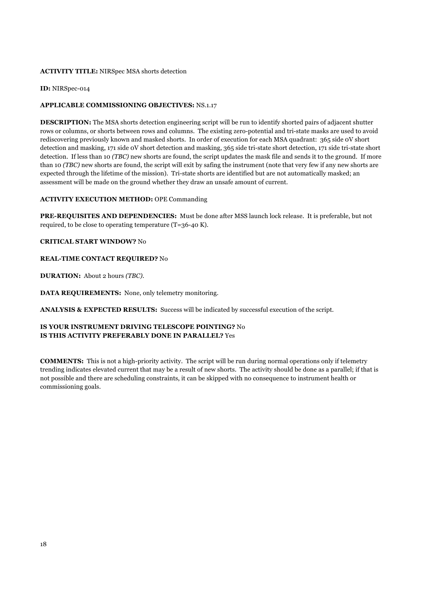# **ACTIVITY TITLE:** NIRSpec MSA shorts detection

**ID:** NIRSpec-014

# **APPLICABLE COMMISSIONING OBJECTIVES:** NS.1.17

**DESCRIPTION:** The MSA shorts detection engineering script will be run to identify shorted pairs of adjacent shutter rows or columns, or shorts between rows and columns. The existing zero-potential and tri-state masks are used to avoid rediscovering previously known and masked shorts. In order of execution for each MSA quadrant: 365 side 0V short detection and masking, 171 side 0V short detection and masking, 365 side tri-state short detection, 171 side tri-state short detection. If less than 10 *(TBC)* new shorts are found, the script updates the mask file and sends it to the ground. If more than 10 *(TBC)* new shorts are found, the script will exit by safing the instrument (note that very few if any new shorts are expected through the lifetime of the mission). Tri-state shorts are identified but are not automatically masked; an assessment will be made on the ground whether they draw an unsafe amount of current.

# **ACTIVITY EXECUTION METHOD:** OPE Commanding

**PRE-REQUISITES AND DEPENDENCIES:** Must be done after MSS launch lock release. It is preferable, but not required, to be close to operating temperature (T=36-40 K).

# **CRITICAL START WINDOW?** No

# **REAL-TIME CONTACT REQUIRED?** No

**DURATION:** About 2 hours *(TBC)*.

**DATA REQUIREMENTS:** None, only telemetry monitoring.

**ANALYSIS & EXPECTED RESULTS:** Success will be indicated by successful execution of the script.

# **IS YOUR INSTRUMENT DRIVING TELESCOPE POINTING?** No **IS THIS ACTIVITY PREFERABLY DONE IN PARALLEL?** Yes

**COMMENTS:** This is not a high-priority activity. The script will be run during normal operations only if telemetry trending indicates elevated current that may be a result of new shorts. The activity should be done as a parallel; if that is not possible and there are scheduling constraints, it can be skipped with no consequence to instrument health or commissioning goals.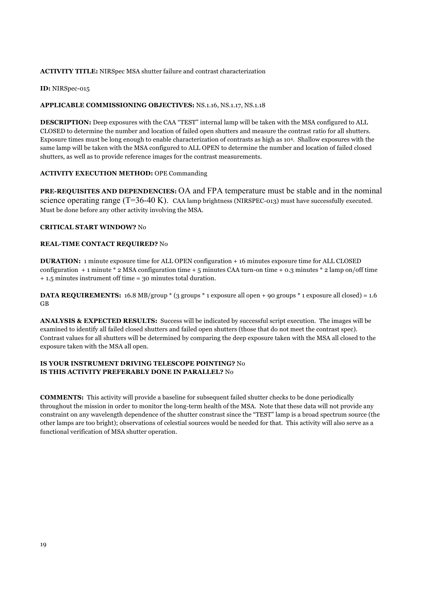# **ACTIVITY TITLE:** NIRSpec MSA shutter failure and contrast characterization

**ID:** NIRSpec-015

# **APPLICABLE COMMISSIONING OBJECTIVES:** NS.1.16, NS.1.17, NS.1.18

**DESCRIPTION:** Deep exposures with the CAA "TEST" internal lamp will be taken with the MSA configured to ALL CLOSED to determine the number and location of failed open shutters and measure the contrast ratio for all shutters. Exposure times must be long enough to enable characterization of contrasts as high as 104. Shallow exposures with the same lamp will be taken with the MSA configured to ALL OPEN to determine the number and location of failed closed shutters, as well as to provide reference images for the contrast measurements.

# **ACTIVITY EXECUTION METHOD:** OPE Commanding

**PRE-REQUISITES AND DEPENDENCIES:** OA and FPA temperature must be stable and in the nominal science operating range  $(T=36-40 \text{ K})$ . CAA lamp brightness (NIRSPEC-013) must have successfully executed. Must be done before any other activity involving the MSA.

# **CRITICAL START WINDOW?** No

# **REAL-TIME CONTACT REQUIRED?** No

**DURATION:** 1 minute exposure time for ALL OPEN configuration + 16 minutes exposure time for ALL CLOSED configuration + 1 minute  $*$  2 MSA configuration time + 5 minutes CAA turn-on time + 0.3 minutes  $*$  2 lamp on/off time + 1.5 minutes instrument off time = 30 minutes total duration.

**DATA REQUIREMENTS:** 16.8 MB/group \* (3 groups \* 1 exposure all open + 90 groups \* 1 exposure all closed) = 1.6 GB

**ANALYSIS & EXPECTED RESULTS:** Success will be indicated by successful script execution. The images will be examined to identify all failed closed shutters and failed open shutters (those that do not meet the contrast spec). Contrast values for all shutters will be determined by comparing the deep exposure taken with the MSA all closed to the exposure taken with the MSA all open.

# **IS YOUR INSTRUMENT DRIVING TELESCOPE POINTING?** No **IS THIS ACTIVITY PREFERABLY DONE IN PARALLEL?** No

**COMMENTS:** This activity will provide a baseline for subsequent failed shutter checks to be done periodically throughout the mission in order to monitor the long-term health of the MSA. Note that these data will not provide any constraint on any wavelength dependence of the shutter constrast since the "TEST" lamp is a broad spectrum source (the other lamps are too bright); observations of celestial sources would be needed for that. This activity will also serve as a functional verification of MSA shutter operation.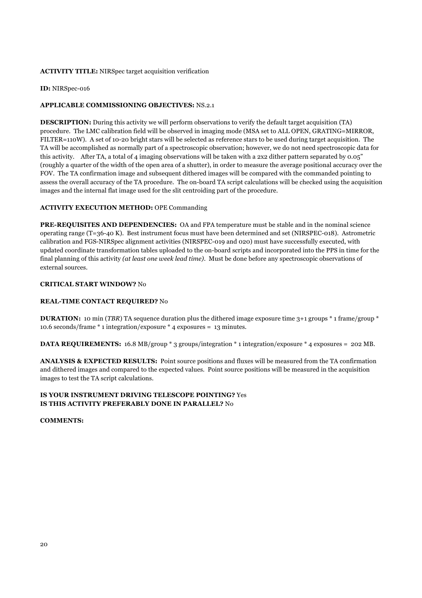# **ACTIVITY TITLE:** NIRSpec target acquisition verification

**ID:** NIRSpec-016

# **APPLICABLE COMMISSIONING OBJECTIVES:** NS.2.1

**DESCRIPTION:** During this activity we will perform observations to verify the default target acquisition (TA) procedure. The LMC calibration field will be observed in imaging mode (MSA set to ALL OPEN, GRATING=MIRROR, FILTER=110W). A set of 10-20 bright stars will be selected as reference stars to be used during target acquisition. The TA will be accomplished as normally part of a spectroscopic observation; however, we do not need spectroscopic data for this activity. After TA, a total of 4 imaging observations will be taken with a 2x2 dither pattern separated by 0.05" (roughly a quarter of the width of the open area of a shutter), in order to measure the average positional accuracy over the FOV. The TA confirmation image and subsequent dithered images will be compared with the commanded pointing to assess the overall accuracy of the TA procedure. The on-board TA script calculations will be checked using the acquisition images and the internal flat image used for the slit centroiding part of the procedure.

# **ACTIVITY EXECUTION METHOD:** OPE Commanding

**PRE-REQUISITES AND DEPENDENCIES:** OA and FPA temperature must be stable and in the nominal science operating range (T=36-40 K). Best instrument focus must have been determined and set (NIRSPEC-018). Astrometric calibration and FGS-NIRSpec alignment activities (NIRSPEC-019 and 020) must have successfully executed, with updated coordinate transformation tables uploaded to the on-board scripts and incorporated into the PPS in time for the final planning of this activity *(at least one week lead time)*. Must be done before any spectroscopic observations of external sources.

# **CRITICAL START WINDOW?** No

#### **REAL-TIME CONTACT REQUIRED?** No

**DURATION:** 10 min (*TBR*) TA sequence duration plus the dithered image exposure time 3+1 groups \* 1 frame/group \* 10.6 seconds/frame \* 1 integration/exposure \* 4 exposures = 13 minutes.

**DATA REQUIREMENTS:** 16.8 MB/group \* 3 groups/integration \* 1 integration/exposure \* 4 exposures = 202 MB.

**ANALYSIS & EXPECTED RESULTS:** Point source positions and fluxes will be measured from the TA confirmation and dithered images and compared to the expected values. Point source positions will be measured in the acquisition images to test the TA script calculations.

# **IS YOUR INSTRUMENT DRIVING TELESCOPE POINTING?** Yes **IS THIS ACTIVITY PREFERABLY DONE IN PARALLEL?** No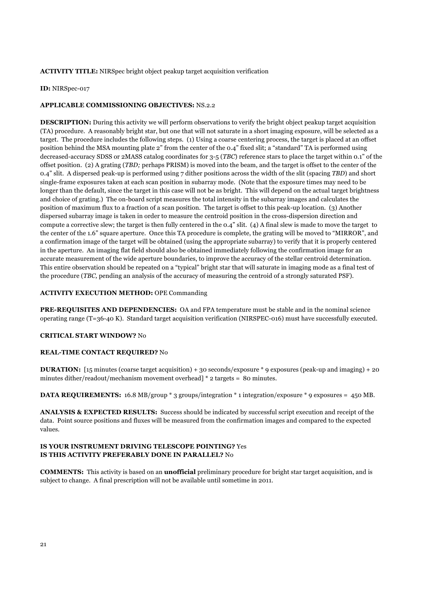# **ACTIVITY TITLE:** NIRSpec bright object peakup target acquisition verification

# **ID:** NIRSpec-017

# **APPLICABLE COMMISSIONING OBJECTIVES:** NS.2.2

**DESCRIPTION:** During this activity we will perform observations to verify the bright object peakup target acquisition (TA) procedure. A reasonably bright star, but one that will not saturate in a short imaging exposure, will be selected as a target. The procedure includes the following steps. (1) Using a coarse centering process, the target is placed at an offset position behind the MSA mounting plate 2" from the center of the 0.4" fixed slit; a "standard" TA is performed using decreased-accuracy SDSS or 2MASS catalog coordinates for 3-5 (*TBC*) reference stars to place the target within 0.1" of the offset position. (2) A grating (*TBD;* perhaps PRISM) is moved into the beam, and the target is offset to the center of the 0.4" slit. A dispersed peak-up is performed using 7 dither positions across the width of the slit (spacing *TBD*) and short single-frame exposures taken at each scan position in subarray mode. (Note that the exposure times may need to be longer than the default, since the target in this case will not be as bright. This will depend on the actual target brightness and choice of grating.) The on-board script measures the total intensity in the subarray images and calculates the position of maximum flux to a fraction of a scan position. The target is offset to this peak-up location. (3) Another dispersed subarray image is taken in order to measure the centroid position in the cross-dispersion direction and compute a corrective slew; the target is then fully centered in the 0.4" slit. (4) A final slew is made to move the target to the center of the 1.6" square aperture. Once this TA procedure is complete, the grating will be moved to "MIRROR", and a confirmation image of the target will be obtained (using the appropriate subarray) to verify that it is properly centered in the aperture. An imaging flat field should also be obtained immediately following the confirmation image for an accurate measurement of the wide aperture boundaries, to improve the accuracy of the stellar centroid determination. This entire observation should be repeated on a "typical" bright star that will saturate in imaging mode as a final test of the procedure (*TBC,* pending an analysis of the accuracy of measuring the centroid of a strongly saturated PSF).

# **ACTIVITY EXECUTION METHOD:** OPE Commanding

**PRE-REQUISITES AND DEPENDENCIES:** OA and FPA temperature must be stable and in the nominal science operating range (T=36-40 K). Standard target acquisition verification (NIRSPEC-016) must have successfully executed.

#### **CRITICAL START WINDOW?** No

#### **REAL-TIME CONTACT REQUIRED?** No

**DURATION:** [15 minutes (coarse target acquisition) + 30 seconds/exposure \* 9 exposures (peak-up and imaging) + 20 minutes dither/readout/mechanism movement overhead] \* 2 targets = 80 minutes.

**DATA REQUIREMENTS:** 16.8 MB/group \* 3 groups/integration \* 1 integration/exposure \* 9 exposures = 450 MB.

**ANALYSIS & EXPECTED RESULTS:** Success should be indicated by successful script execution and receipt of the data. Point source positions and fluxes will be measured from the confirmation images and compared to the expected values.

# **IS YOUR INSTRUMENT DRIVING TELESCOPE POINTING?** Yes **IS THIS ACTIVITY PREFERABLY DONE IN PARALLEL?** No

**COMMENTS:** This activity is based on an **unofficial** preliminary procedure for bright star target acquisition, and is subject to change. A final prescription will not be available until sometime in 2011.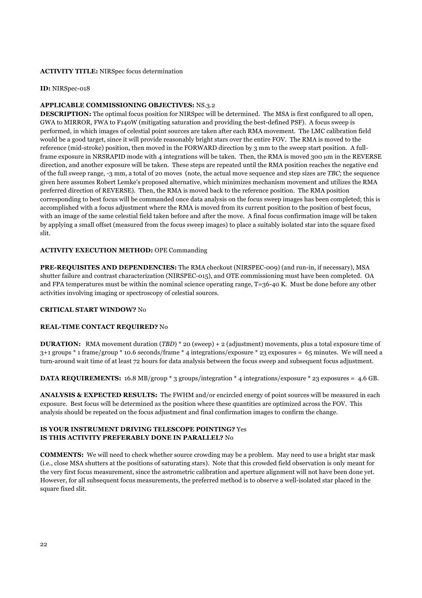#### **ACTIVITY TITLE:** NIRSpec focus determination

#### **ID:** NIRSpec-018

# **APPLICABLE COMMISSIONING OBJECTIVES:** NS.3.2

**DESCRIPTION:** The optimal focus position for NIRSpec will be determined. The MSA is first configured to all open, GWA to MIRROR, FWA to F140W (mitigating saturation and providing the best-defined PSF). A focus sweep is performed, in which images of celestial point sources are taken after each RMA movement. The LMC calibration field would be a good target, since it will provide reasonably bright stars over the entire FOV. The RMA is moved to the reference (mid-stroke) position, then moved in the FORWARD direction by 3 mm to the sweep start position. A fullframe exposure in NRSRAPID mode with 4 integrations will be taken. Then, the RMA is moved 300 µm in the REVERSE direction, and another exposure will be taken. These steps are repeated until the RMA position reaches the negative end of the full sweep range, -3 mm, a total of 20 moves (note, the actual move sequence and step sizes are *TBC*; the sequence given here assumes Robert Lemke's proposed alternative, which minimizes mechanism movement and utilizes the RMA preferred direction of REVERSE). Then, the RMA is moved back to the reference position. The RMA position corresponding to best focus will be commanded once data analysis on the focus sweep images has been completed; this is accomplished with a focus adjustment where the RMA is moved from its current position to the position of best focus, with an image of the same celestial field taken before and after the move. A final focus confirmation image will be taken by applying a small offset (measured from the focus sweep images) to place a suitably isolated star into the square fixed slit.

# **ACTIVITY EXECUTION METHOD:** OPE Commanding

**PRE-REQUISITES AND DEPENDENCIES:** The RMA checkout (NIRSPEC-009) (and run-in, if necessary), MSA shutter failure and contrast characterization (NIRSPEC-015), and OTE commissioning must have been completed. OA and FPA temperatures must be within the nominal science operating range, T=36-40 K. Must be done before any other activities involving imaging or spectroscopy of celestial sources.

# **CRITICAL START WINDOW?** No

# **REAL-TIME CONTACT REQUIRED?** No

**DURATION:** RMA movement duration (*TBD*) \* 20 (sweep) + 2 (adjustment) movements, plus a total exposure time of 3+1 groups \* 1 frame/group \* 10.6 seconds/frame \* 4 integrations/exposure \* 23 exposures = 65 minutes. We will need a turn-around wait time of at least 72 hours for data analysis between the focus sweep and subsequent focus adjustment.

**DATA REQUIREMENTS:** 16.8 MB/group \* 3 groups/integration \* 4 integrations/exposure \* 23 exposures = 4.6 GB.

**ANALYSIS & EXPECTED RESULTS:** The FWHM and/or encircled energy of point sources will be measured in each exposure. Best focus will be determined as the position where these quantities are optimized across the FOV. This analysis should be repeated on the focus adjustment and final confirmation images to confirm the change.

# **IS YOUR INSTRUMENT DRIVING TELESCOPE POINTING?** Yes **IS THIS ACTIVITY PREFERABLY DONE IN PARALLEL?** No

**COMMENTS:** We will need to check whether source crowding may be a problem. May need to use a bright star mask (i.e., close MSA shutters at the positions of saturating stars). Note that this crowded field observation is only meant for the very first focus measurement, since the astrometric calibration and aperture alignment will not have been done yet. However, for all subsequent focus measurements, the preferred method is to observe a well-isolated star placed in the square fixed slit.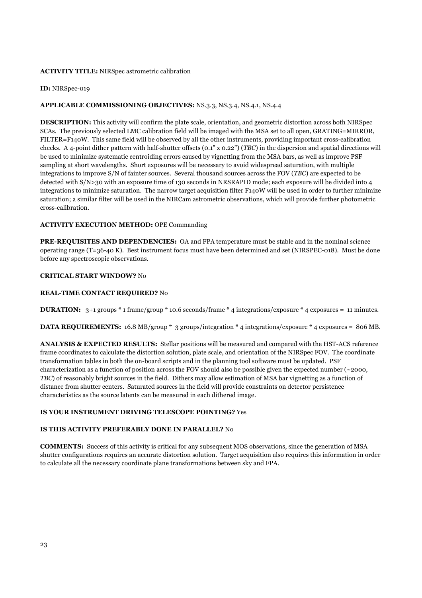### **ACTIVITY TITLE:** NIRSpec astrometric calibration

#### **ID:** NIRSpec-019

# **APPLICABLE COMMISSIONING OBJECTIVES:** NS.3.3, NS.3.4, NS.4.1, NS.4.4

**DESCRIPTION:** This activity will confirm the plate scale, orientation, and geometric distortion across both NIRSpec SCAs. The previously selected LMC calibration field will be imaged with the MSA set to all open, GRATING=MIRROR, FILTER=F140W. This same field will be observed by all the other instruments, providing important cross-calibration checks. A 4-point dither pattern with half-shutter offsets (0.1" x 0.22") (*TBC*) in the dispersion and spatial directions will be used to minimize systematic centroiding errors caused by vignetting from the MSA bars, as well as improve PSF sampling at short wavelengths. Short exposures will be necessary to avoid widespread saturation, with multiple integrations to improve S/N of fainter sources. Several thousand sources across the FOV (*TBC*) are expected to be detected with S/N>30 with an exposure time of 130 seconds in NRSRAPID mode; each exposure will be divided into 4 integrations to minimize saturation. The narrow target acquisition filter F140W will be used in order to further minimize saturation; a similar filter will be used in the NIRCam astrometric observations, which will provide further photometric cross-calibration.

#### **ACTIVITY EXECUTION METHOD:** OPE Commanding

**PRE-REQUISITES AND DEPENDENCIES:** OA and FPA temperature must be stable and in the nominal science operating range (T=36-40 K). Best instrument focus must have been determined and set (NIRSPEC-018). Must be done before any spectroscopic observations.

# **CRITICAL START WINDOW?** No

# **REAL-TIME CONTACT REQUIRED?** No

**DURATION:**  $3+1$  groups  $*$  1 frame/group  $*$  10.6 seconds/frame  $*$  4 integrations/exposure  $*$  4 exposures = 11 minutes.

**DATA REQUIREMENTS:** 16.8 MB/group \* 3 groups/integration \* 4 integrations/exposure \* 4 exposures = 806 MB.

**ANALYSIS & EXPECTED RESULTS:** Stellar positions will be measured and compared with the HST-ACS reference frame coordinates to calculate the distortion solution, plate scale, and orientation of the NIRSpec FOV. The coordinate transformation tables in both the on-board scripts and in the planning tool software must be updated. PSF characterization as a function of position across the FOV should also be possible given the expected number ( $\sim$ 2000, *TBC*) of reasonably bright sources in the field. Dithers may allow estimation of MSA bar vignetting as a function of distance from shutter centers. Saturated sources in the field will provide constraints on detector persistence characteristics as the source latents can be measured in each dithered image.

#### **IS YOUR INSTRUMENT DRIVING TELESCOPE POINTING?** Yes

#### **IS THIS ACTIVITY PREFERABLY DONE IN PARALLEL?** No

**COMMENTS:** Success of this activity is critical for any subsequent MOS observations, since the generation of MSA shutter configurations requires an accurate distortion solution. Target acquisition also requires this information in order to calculate all the necessary coordinate plane transformations between sky and FPA.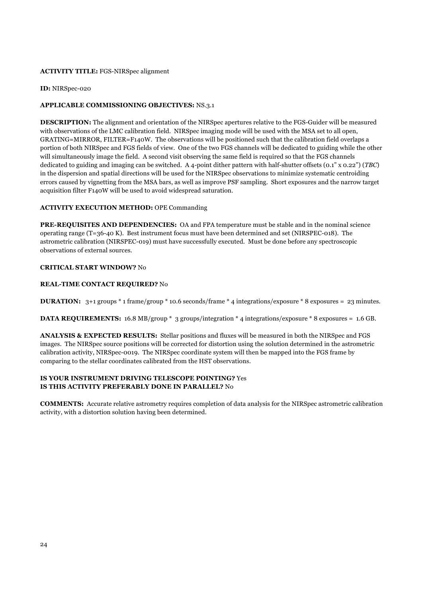# **ACTIVITY TITLE:** FGS-NIRSpec alignment

**ID:** NIRSpec-020

# **APPLICABLE COMMISSIONING OBJECTIVES:** NS.3.1

**DESCRIPTION:** The alignment and orientation of the NIRSpec apertures relative to the FGS-Guider will be measured with observations of the LMC calibration field. NIRSpec imaging mode will be used with the MSA set to all open, GRATING=MIRROR, FILTER=F140W. The observations will be positioned such that the calibration field overlaps a portion of both NIRSpec and FGS fields of view. One of the two FGS channels will be dedicated to guiding while the other will simultaneously image the field. A second visit observing the same field is required so that the FGS channels dedicated to guiding and imaging can be switched. A 4-point dither pattern with half-shutter offsets (0.1" x 0.22") (*TBC*) in the dispersion and spatial directions will be used for the NIRSpec observations to minimize systematic centroiding errors caused by vignetting from the MSA bars, as well as improve PSF sampling. Short exposures and the narrow target acquisition filter F140W will be used to avoid widespread saturation.

# **ACTIVITY EXECUTION METHOD:** OPE Commanding

**PRE-REQUISITES AND DEPENDENCIES:** OA and FPA temperature must be stable and in the nominal science operating range (T=36-40 K). Best instrument focus must have been determined and set (NIRSPEC-018). The astrometric calibration (NIRSPEC-019) must have successfully executed. Must be done before any spectroscopic observations of external sources.

# **CRITICAL START WINDOW?** No

# **REAL-TIME CONTACT REQUIRED?** No

**DURATION:**  $3+1$  groups \* 1 frame/group \* 10.6 seconds/frame \* 4 integrations/exposure \* 8 exposures = 23 minutes.

**DATA REQUIREMENTS:** 16.8 MB/group \* 3 groups/integration \* 4 integrations/exposure \* 8 exposures = 1.6 GB.

**ANALYSIS & EXPECTED RESULTS:** Stellar positions and fluxes will be measured in both the NIRSpec and FGS images. The NIRSpec source positions will be corrected for distortion using the solution determined in the astrometric calibration activity, NIRSpec-0019. The NIRSpec coordinate system will then be mapped into the FGS frame by comparing to the stellar coordinates calibrated from the HST observations.

# **IS YOUR INSTRUMENT DRIVING TELESCOPE POINTING?** Yes **IS THIS ACTIVITY PREFERABLY DONE IN PARALLEL?** No

**COMMENTS:** Accurate relative astrometry requires completion of data analysis for the NIRSpec astrometric calibration activity, with a distortion solution having been determined.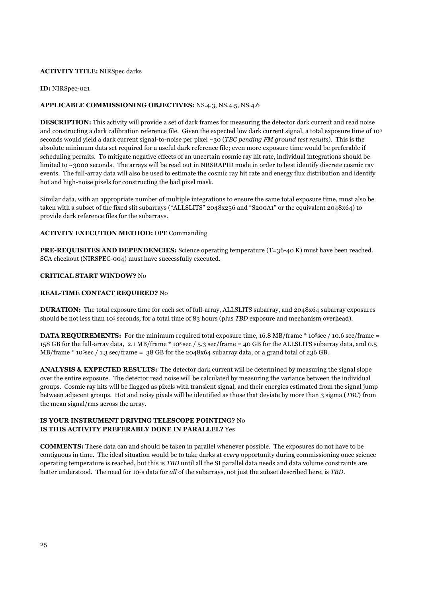### **ACTIVITY TITLE:** NIRSpec darks

#### **ID:** NIRSpec-021

# **APPLICABLE COMMISSIONING OBJECTIVES:** NS.4.3, NS.4.5, NS.4.6

**DESCRIPTION:** This activity will provide a set of dark frames for measuring the detector dark current and read noise and constructing a dark calibration reference file. Given the expected low dark current signal, a total exposure time of 105 seconds would yield a dark current signal-to-noise per pixel ~30 (*TBC pending FM ground test results*). This is the absolute minimum data set required for a useful dark reference file; even more exposure time would be preferable if scheduling permits. To mitigate negative effects of an uncertain cosmic ray hit rate, individual integrations should be limited to ~3000 seconds. The arrays will be read out in NRSRAPID mode in order to best identify discrete cosmic ray events. The full-array data will also be used to estimate the cosmic ray hit rate and energy flux distribution and identify hot and high-noise pixels for constructing the bad pixel mask.

Similar data, with an appropriate number of multiple integrations to ensure the same total exposure time, must also be taken with a subset of the fixed slit subarrays ("ALLSLITS" 2048x256 and "S200A1" or the equivalent 2048x64) to provide dark reference files for the subarrays.

# **ACTIVITY EXECUTION METHOD:** OPE Commanding

**PRE-REQUISITES AND DEPENDENCIES:** Science operating temperature (T=36-40 K) must have been reached. SCA checkout (NIRSPEC-004) must have successfully executed.

# **CRITICAL START WINDOW?** No

# **REAL-TIME CONTACT REQUIRED?** No

**DURATION:** The total exposure time for each set of full-array, ALLSLITS subarray, and 2048x64 subarray exposures should be not less than 105 seconds, for a total time of 83 hours (plus *TBD* exposure and mechanism overhead).

**DATA REQUIREMENTS:** For the minimum required total exposure time, 16.8 MB/frame \* 105sec / 10.6 sec/frame = 158 GB for the full-array data, 2.1 MB/frame \* 105 sec / 5.3 sec/frame = 40 GB for the ALLSLITS subarray data, and 0.5 MB/frame \* 105sec / 1.3 sec/frame = 38 GB for the 2048x64 subarray data, or a grand total of 236 GB.

**ANALYSIS & EXPECTED RESULTS:** The detector dark current will be determined by measuring the signal slope over the entire exposure. The detector read noise will be calculated by measuring the variance between the individual groups. Cosmic ray hits will be flagged as pixels with transient signal, and their energies estimated from the signal jump between adjacent groups. Hot and noisy pixels will be identified as those that deviate by more than 3 sigma (*TBC*) from the mean signal/rms across the array.

# **IS YOUR INSTRUMENT DRIVING TELESCOPE POINTING?** No **IS THIS ACTIVITY PREFERABLY DONE IN PARALLEL?** Yes

**COMMENTS:** These data can and should be taken in parallel whenever possible. The exposures do not have to be contiguous in time. The ideal situation would be to take darks at *every* opportunity during commissioning once science operating temperature is reached, but this is *TBD* until all the SI parallel data needs and data volume constraints are better understood. The need for 105s data for *all* of the subarrays, not just the subset described here, is *TBD*.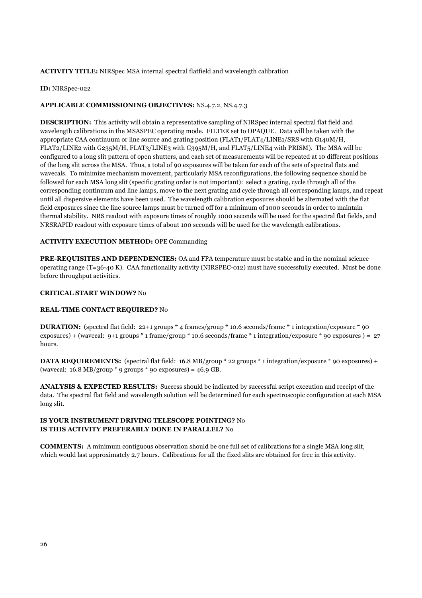# **ACTIVITY TITLE:** NIRSpec MSA internal spectral flatfield and wavelength calibration

#### **ID:** NIRSpec-022

# **APPLICABLE COMMISSIONING OBJECTIVES:** NS.4.7.2, NS.4.7.3

**DESCRIPTION:** This activity will obtain a representative sampling of NIRSpec internal spectral flat field and wavelength calibrations in the MSASPEC operating mode. FILTER set to OPAQUE. Data will be taken with the appropriate CAA continuum or line source and grating position (FLAT1/FLAT4/LINE1/SRS with G140M/H, FLAT2/LINE2 with G235M/H, FLAT3/LINE3 with G395M/H, and FLAT5/LINE4 with PRISM). The MSA will be configured to a long slit pattern of open shutters, and each set of measurements will be repeated at 10 different positions of the long slit across the MSA. Thus, a total of 90 exposures will be taken for each of the sets of spectral flats and wavecals. To minimize mechanism movement, particularly MSA reconfigurations, the following sequence should be followed for each MSA long slit (specific grating order is not important): select a grating, cycle through all of the corresponding continuum and line lamps, move to the next grating and cycle through all corresponding lamps, and repeat until all dispersive elements have been used. The wavelength calibration exposures should be alternated with the flat field exposures since the line source lamps must be turned off for a minimum of 1000 seconds in order to maintain thermal stability. NRS readout with exposure times of roughly 1000 seconds will be used for the spectral flat fields, and NRSRAPID readout with exposure times of about 100 seconds will be used for the wavelength calibrations.

#### **ACTIVITY EXECUTION METHOD:** OPE Commanding

**PRE-REQUISITES AND DEPENDENCIES:** OA and FPA temperature must be stable and in the nominal science operating range (T=36-40 K). CAA functionality activity (NIRSPEC-012) must have successfully executed. Must be done before throughput activities.

#### **CRITICAL START WINDOW?** No

#### **REAL-TIME CONTACT REQUIRED?** No

**DURATION:** (spectral flat field: 22+1 groups \* 4 frames/group \* 10.6 seconds/frame \* 1 integration/exposure \* 90 exposures) + (wavecal: 9+1 groups \* 1 frame/group \* 10.6 seconds/frame \* 1 integration/exposure \* 90 exposures ) = 27 hours.

**DATA REQUIREMENTS:** (spectral flat field: 16.8 MB/group \* 22 groups \* 1 integration/exposure \* 90 exposures) + (wavecal:  $16.8 \text{ MB/group}$  \* 9 groups \* 90 exposures) = 46.9 GB.

**ANALYSIS & EXPECTED RESULTS:** Success should be indicated by successful script execution and receipt of the data. The spectral flat field and wavelength solution will be determined for each spectroscopic configuration at each MSA long slit.

# **IS YOUR INSTRUMENT DRIVING TELESCOPE POINTING?** No **IS THIS ACTIVITY PREFERABLY DONE IN PARALLEL?** No

**COMMENTS:** A minimum contiguous observation should be one full set of calibrations for a single MSA long slit, which would last approximately 2.7 hours. Calibrations for all the fixed slits are obtained for free in this activity.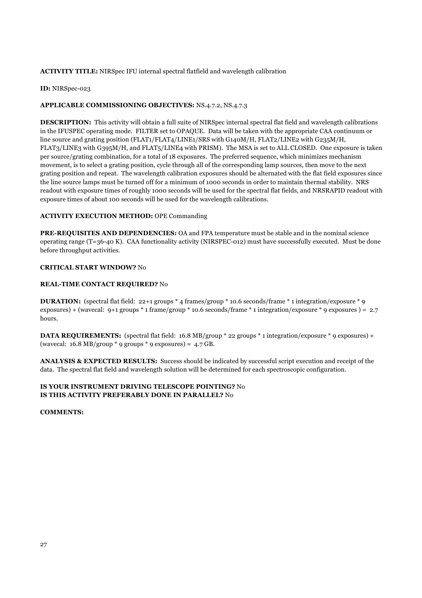# **ACTIVITY TITLE:** NIRSpec IFU internal spectral flatfield and wavelength calibration

# **ID:** NIRSpec-023

# **APPLICABLE COMMISSIONING OBJECTIVES:** NS.4.7.2, NS.4.7.3

**DESCRIPTION:** This activity will obtain a full suite of NIRSpec internal spectral flat field and wavelength calibrations in the IFUSPEC operating mode. FILTER set to OPAQUE. Data will be taken with the appropriate CAA continuum or line source and grating position (FLAT1/FLAT4/LINE1/SRS with G140M/H, FLAT2/LINE2 with G235M/H, FLAT3/LINE3 with G395M/H, and FLAT5/LINE4 with PRISM). The MSA is set to ALL CLOSED. One exposure is taken per source/grating combination, for a total of 18 exposures. The preferred sequence, which minimizes mechanism movement, is to select a grating position, cycle through all of the corresponding lamp sources, then move to the next grating position and repeat. The wavelength calibration exposures should be alternated with the flat field exposures since the line source lamps must be turned off for a minimum of 1000 seconds in order to maintain thermal stability. NRS readout with exposure times of roughly 1000 seconds will be used for the spectral flat fields, and NRSRAPID readout with exposure times of about 100 seconds will be used for the wavelength calibrations.

# **ACTIVITY EXECUTION METHOD:** OPE Commanding

**PRE-REQUISITES AND DEPENDENCIES:** OA and FPA temperature must be stable and in the nominal science operating range (T=36-40 K). CAA functionality activity (NIRSPEC-012) must have successfully executed. Must be done before throughput activities.

# **CRITICAL START WINDOW?** No

# **REAL-TIME CONTACT REQUIRED?** No

**DURATION:** (spectral flat field: 22+1 groups \* 4 frames/group \* 10.6 seconds/frame \* 1 integration/exposure \* 9 exposures) + (wavecal: 9+1 groups \* 1 frame/group \* 10.6 seconds/frame \* 1 integration/exposure \* 9 exposures ) = 2.7 hours.

**DATA REQUIREMENTS:** (spectral flat field: 16.8 MB/group \* 22 groups \* 1 integration/exposure \* 9 exposures) + (wavecal:  $16.8 \text{ MB/group}$  \* 9 groups \* 9 exposures) = 4.7 GB.

**ANALYSIS & EXPECTED RESULTS:** Success should be indicated by successful script execution and receipt of the data. The spectral flat field and wavelength solution will be determined for each spectroscopic configuration.

#### **IS YOUR INSTRUMENT DRIVING TELESCOPE POINTING?** No **IS THIS ACTIVITY PREFERABLY DONE IN PARALLEL?** No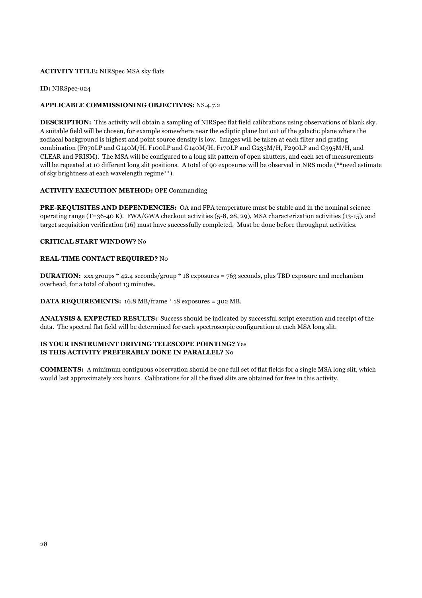# **ACTIVITY TITLE:** NIRSpec MSA sky flats

**ID:** NIRSpec-024

# **APPLICABLE COMMISSIONING OBJECTIVES:** NS.4.7.2

**DESCRIPTION:** This activity will obtain a sampling of NIRSpec flat field calibrations using observations of blank sky. A suitable field will be chosen, for example somewhere near the ecliptic plane but out of the galactic plane where the zodiacal background is highest and point source density is low. Images will be taken at each filter and grating combination (F070LP and G140M/H, F100LP and G140M/H, F170LP and G235M/H, F290LP and G395M/H, and CLEAR and PRISM). The MSA will be configured to a long slit pattern of open shutters, and each set of measurements will be repeated at 10 different long slit positions. A total of 90 exposures will be observed in NRS mode (\*\*need estimate of sky brightness at each wavelength regime\*\*).

# **ACTIVITY EXECUTION METHOD:** OPE Commanding

**PRE-REQUISITES AND DEPENDENCIES:** OA and FPA temperature must be stable and in the nominal science operating range (T=36-40 K). FWA/GWA checkout activities (5-8, 28, 29), MSA characterization activities (13-15), and target acquisition verification (16) must have successfully completed. Must be done before throughput activities.

# **CRITICAL START WINDOW?** No

# **REAL-TIME CONTACT REQUIRED?** No

**DURATION:** xxx groups \* 42.4 seconds/group \* 18 exposures = 763 seconds, plus TBD exposure and mechanism overhead, for a total of about 13 minutes.

**DATA REQUIREMENTS:** 16.8 MB/frame \* 18 exposures = 302 MB.

**ANALYSIS & EXPECTED RESULTS:** Success should be indicated by successful script execution and receipt of the data. The spectral flat field will be determined for each spectroscopic configuration at each MSA long slit.

# **IS YOUR INSTRUMENT DRIVING TELESCOPE POINTING?** Yes **IS THIS ACTIVITY PREFERABLY DONE IN PARALLEL?** No

**COMMENTS:** A minimum contiguous observation should be one full set of flat fields for a single MSA long slit, which would last approximately xxx hours. Calibrations for all the fixed slits are obtained for free in this activity.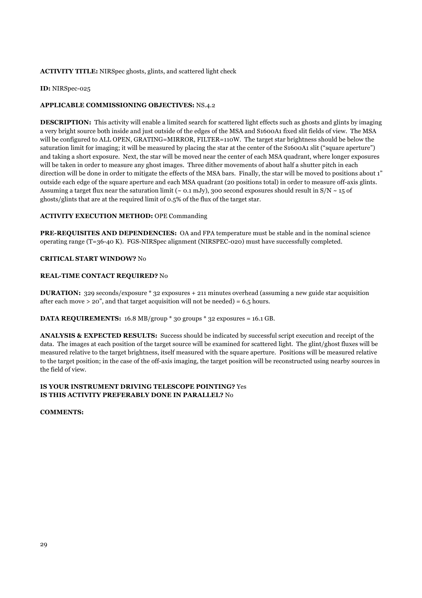# **ACTIVITY TITLE:** NIRSpec ghosts, glints, and scattered light check

# **ID:** NIRSpec-025

# **APPLICABLE COMMISSIONING OBJECTIVES:** NS.4.2

**DESCRIPTION:** This activity will enable a limited search for scattered light effects such as ghosts and glints by imaging a very bright source both inside and just outside of the edges of the MSA and S1600A1 fixed slit fields of view. The MSA will be configured to ALL OPEN, GRATING=MIRROR, FILTER=110W. The target star brightness should be below the saturation limit for imaging; it will be measured by placing the star at the center of the S1600A1 slit ("square aperture") and taking a short exposure. Next, the star will be moved near the center of each MSA quadrant, where longer exposures will be taken in order to measure any ghost images. Three dither movements of about half a shutter pitch in each direction will be done in order to mitigate the effects of the MSA bars. Finally, the star will be moved to positions about 1" outside each edge of the square aperture and each MSA quadrant (20 positions total) in order to measure off-axis glints. Assuming a target flux near the saturation limit ( $\sim$  0.1 mJy), 300 second exposures should result in S/N  $\sim$  15 of ghosts/glints that are at the required limit of 0.5% of the flux of the target star.

# **ACTIVITY EXECUTION METHOD:** OPE Commanding

**PRE-REQUISITES AND DEPENDENCIES:** OA and FPA temperature must be stable and in the nominal science operating range (T=36-40 K). FGS-NIRSpec alignment (NIRSPEC-020) must have successfully completed.

# **CRITICAL START WINDOW?** No

# **REAL-TIME CONTACT REQUIRED?** No

**DURATION:** 329 seconds/exposure \* 32 exposures + 211 minutes overhead (assuming a new guide star acquisition after each move  $>$  20", and that target acquisition will not be needed) = 6.5 hours.

# **DATA REQUIREMENTS:** 16.8 MB/group \* 30 groups \* 32 exposures = 16.1 GB.

**ANALYSIS & EXPECTED RESULTS:** Success should be indicated by successful script execution and receipt of the data. The images at each position of the target source will be examined for scattered light. The glint/ghost fluxes will be measured relative to the target brightness, itself measured with the square aperture. Positions will be measured relative to the target position; in the case of the off-axis imaging, the target position will be reconstructed using nearby sources in the field of view.

#### **IS YOUR INSTRUMENT DRIVING TELESCOPE POINTING?** Yes **IS THIS ACTIVITY PREFERABLY DONE IN PARALLEL?** No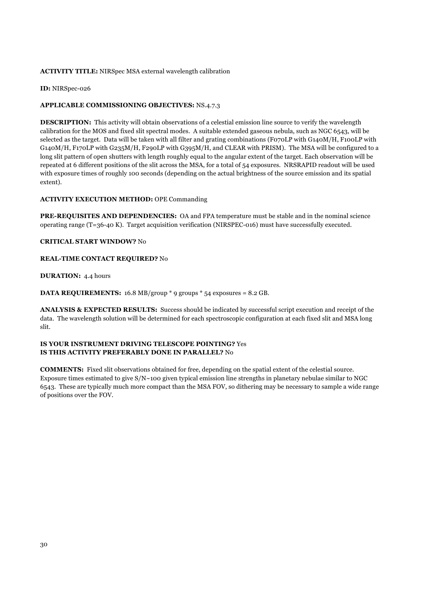# **ACTIVITY TITLE:** NIRSpec MSA external wavelength calibration

**ID:** NIRSpec-026

# **APPLICABLE COMMISSIONING OBJECTIVES:** NS.4.7.3

**DESCRIPTION:** This activity will obtain observations of a celestial emission line source to verify the wavelength calibration for the MOS and fixed slit spectral modes. A suitable extended gaseous nebula, such as NGC 6543, will be selected as the target. Data will be taken with all filter and grating combinations (F070LP with G140M/H, F100LP with G140M/H, F170LP with G235M/H, F290LP with G395M/H, and CLEAR with PRISM). The MSA will be configured to a long slit pattern of open shutters with length roughly equal to the angular extent of the target. Each observation will be repeated at 6 different positions of the slit across the MSA, for a total of 54 exposures. NRSRAPID readout will be used with exposure times of roughly 100 seconds (depending on the actual brightness of the source emission and its spatial extent).

#### **ACTIVITY EXECUTION METHOD:** OPE Commanding

**PRE-REQUISITES AND DEPENDENCIES:** OA and FPA temperature must be stable and in the nominal science operating range (T=36-40 K). Target acquisition verification (NIRSPEC-016) must have successfully executed.

# **CRITICAL START WINDOW?** No

# **REAL-TIME CONTACT REQUIRED?** No

**DURATION:** 4.4 hours

**DATA REQUIREMENTS:** 16.8 MB/group \* 9 groups \* 54 exposures = 8.2 GB.

**ANALYSIS & EXPECTED RESULTS:** Success should be indicated by successful script execution and receipt of the data. The wavelength solution will be determined for each spectroscopic configuration at each fixed slit and MSA long slit.

# **IS YOUR INSTRUMENT DRIVING TELESCOPE POINTING?** Yes **IS THIS ACTIVITY PREFERABLY DONE IN PARALLEL?** No

**COMMENTS:** Fixed slit observations obtained for free, depending on the spatial extent of the celestial source. Exposure times estimated to give  $S/N \sim 100$  given typical emission line strengths in planetary nebulae similar to NGC 6543. These are typically much more compact than the MSA FOV, so dithering may be necessary to sample a wide range of positions over the FOV.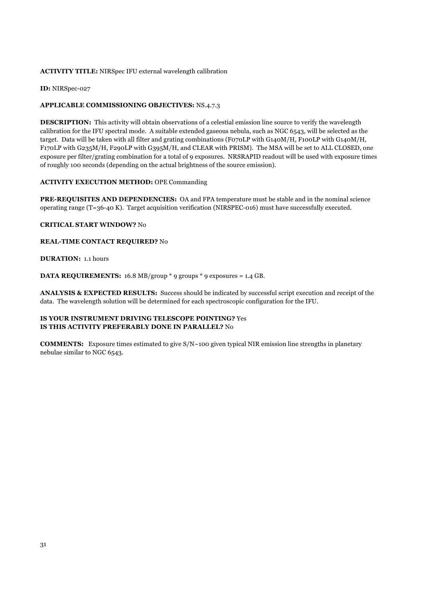# **ACTIVITY TITLE:** NIRSpec IFU external wavelength calibration

**ID:** NIRSpec-027

# **APPLICABLE COMMISSIONING OBJECTIVES:** NS.4.7.3

**DESCRIPTION:** This activity will obtain observations of a celestial emission line source to verify the wavelength calibration for the IFU spectral mode. A suitable extended gaseous nebula, such as NGC 6543, will be selected as the target. Data will be taken with all filter and grating combinations (F070LP with G140M/H, F100LP with G140M/H, F170LP with G235M/H, F290LP with G395M/H, and CLEAR with PRISM). The MSA will be set to ALL CLOSED, one exposure per filter/grating combination for a total of 9 exposures. NRSRAPID readout will be used with exposure times of roughly 100 seconds (depending on the actual brightness of the source emission).

# **ACTIVITY EXECUTION METHOD:** OPE Commanding

**PRE-REQUISITES AND DEPENDENCIES:** OA and FPA temperature must be stable and in the nominal science operating range (T=36-40 K). Target acquisition verification (NIRSPEC-016) must have successfully executed.

#### **CRITICAL START WINDOW?** No

#### **REAL-TIME CONTACT REQUIRED?** No

**DURATION:** 1.1 hours

**DATA REQUIREMENTS:** 16.8 MB/group \* 9 groups \* 9 exposures = 1.4 GB.

**ANALYSIS & EXPECTED RESULTS:** Success should be indicated by successful script execution and receipt of the data. The wavelength solution will be determined for each spectroscopic configuration for the IFU.

# **IS YOUR INSTRUMENT DRIVING TELESCOPE POINTING?** Yes **IS THIS ACTIVITY PREFERABLY DONE IN PARALLEL?** No

**COMMENTS:** Exposure times estimated to give S/N~100 given typical NIR emission line strengths in planetary nebulae similar to NGC 6543.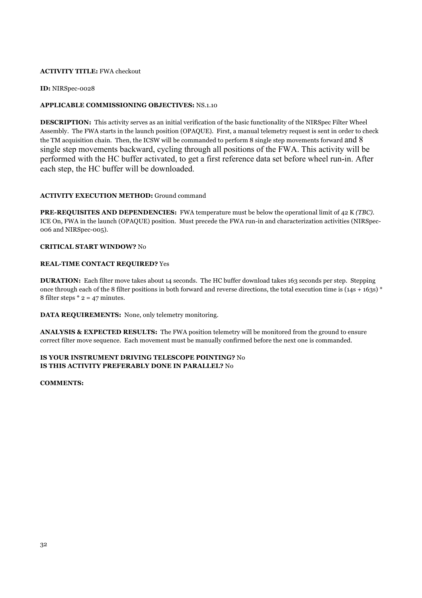# **ACTIVITY TITLE:** FWA checkout

**ID:** NIRSpec-0028

# **APPLICABLE COMMISSIONING OBJECTIVES:** NS.1.10

**DESCRIPTION:** This activity serves as an initial verification of the basic functionality of the NIRSpec Filter Wheel Assembly. The FWA starts in the launch position (OPAQUE). First, a manual telemetry request is sent in order to check the TM acquisition chain. Then, the ICSW will be commanded to perform 8 single step movements forward and 8 single step movements backward, cycling through all positions of the FWA. This activity will be performed with the HC buffer activated, to get a first reference data set before wheel run-in. After each step, the HC buffer will be downloaded.

# **ACTIVITY EXECUTION METHOD:** Ground command

**PRE-REQUISITES AND DEPENDENCIES:** FWA temperature must be below the operational limit of 42 K *(TBC)*. ICE On, FWA in the launch (OPAQUE) position. Must precede the FWA run-in and characterization activities (NIRSpec-006 and NIRSpec-005).

# **CRITICAL START WINDOW?** No

# **REAL-TIME CONTACT REQUIRED?** Yes

**DURATION:** Each filter move takes about 14 seconds. The HC buffer download takes 163 seconds per step. Stepping once through each of the 8 filter positions in both forward and reverse directions, the total execution time is  $(14s + 163s)$  \* 8 filter steps  $*$  2 = 47 minutes.

**DATA REQUIREMENTS:** None, only telemetry monitoring.

**ANALYSIS & EXPECTED RESULTS:** The FWA position telemetry will be monitored from the ground to ensure correct filter move sequence. Each movement must be manually confirmed before the next one is commanded.

# **IS YOUR INSTRUMENT DRIVING TELESCOPE POINTING?** No **IS THIS ACTIVITY PREFERABLY DONE IN PARALLEL?** No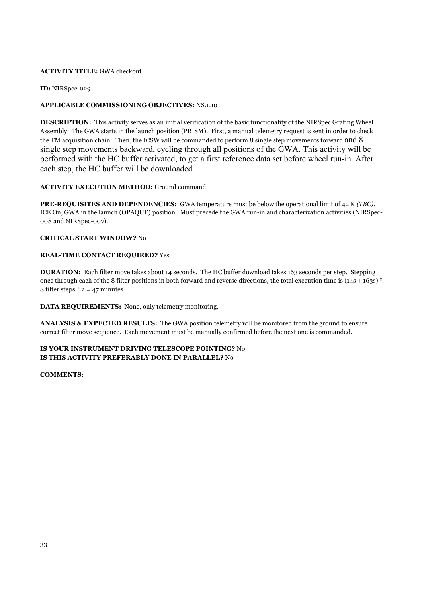# **ACTIVITY TITLE:** GWA checkout

**ID:** NIRSpec-029

# **APPLICABLE COMMISSIONING OBJECTIVES:** NS.1.10

**DESCRIPTION:** This activity serves as an initial verification of the basic functionality of the NIRSpec Grating Wheel Assembly. The GWA starts in the launch position (PRISM). First, a manual telemetry request is sent in order to check the TM acquisition chain. Then, the ICSW will be commanded to perform 8 single step movements forward and 8 single step movements backward, cycling through all positions of the GWA. This activity will be performed with the HC buffer activated, to get a first reference data set before wheel run-in. After each step, the HC buffer will be downloaded.

# **ACTIVITY EXECUTION METHOD:** Ground command

**PRE-REQUISITES AND DEPENDENCIES:** GWA temperature must be below the operational limit of 42 K *(TBC)*. ICE On, GWA in the launch (OPAQUE) position. Must precede the GWA run-in and characterization activities (NIRSpec-008 and NIRSpec-007).

# **CRITICAL START WINDOW?** No

# **REAL-TIME CONTACT REQUIRED?** Yes

**DURATION:** Each filter move takes about 14 seconds. The HC buffer download takes 163 seconds per step. Stepping once through each of the 8 filter positions in both forward and reverse directions, the total execution time is  $(14s + 163s)$  \* 8 filter steps  $*$  2 = 47 minutes.

**DATA REQUIREMENTS:** None, only telemetry monitoring.

**ANALYSIS & EXPECTED RESULTS:** The GWA position telemetry will be monitored from the ground to ensure correct filter move sequence. Each movement must be manually confirmed before the next one is commanded.

# **IS YOUR INSTRUMENT DRIVING TELESCOPE POINTING?** No **IS THIS ACTIVITY PREFERABLY DONE IN PARALLEL?** No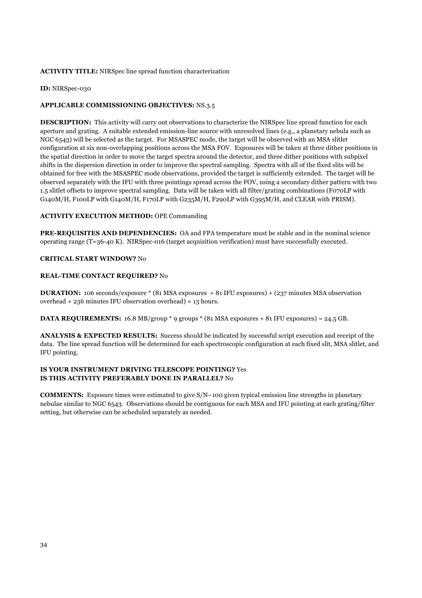# **ACTIVITY TITLE:** NIRSpec line spread function characterization

**ID:** NIRSpec-030

# **APPLICABLE COMMISSIONING OBJECTIVES:** NS.3.5

**DESCRIPTION:** This activity will carry out observations to characterize the NIRSpec line spread function for each aperture and grating. A suitable extended emission-line source with unresolved lines (e.g., a planetary nebula such as NGC 6543) will be selected as the target. For MSASPEC mode, the target will be observed with an MSA slitlet configuration at six non-overlapping positions across the MSA FOV. Exposures will be taken at three dither positions in the spatial direction in order to move the target spectra around the detector, and three dither positions with subpixel shifts in the dispersion direction in order to improve the spectral sampling. Spectra with all of the fixed slits will be obtained for free with the MSASPEC mode observations, provided the target is sufficiently extended. The target will be observed separately with the IFU with three pointings spread across the FOV, using a secondary dither pattern with two 1.5 slitlet offsets to improve spectral sampling. Data will be taken with all filter/grating combinations (F070LP with G140M/H, F100LP with G140M/H, F170LP with G235M/H, F290LP with G395M/H, and CLEAR with PRISM).

# **ACTIVITY EXECUTION METHOD:** OPE Commanding

**PRE-REQUISITES AND DEPENDENCIES:** OA and FPA temperature must be stable and in the nominal science operating range (T=36-40 K). NIRSpec-016 (target acquisition verification) must have successfully executed.

# **CRITICAL START WINDOW?** No

# **REAL-TIME CONTACT REQUIRED?** No

**DURATION:** 106 seconds/exposure \* (81 MSA exposures + 81 IFU exposures) + (237 minutes MSA observation overhead + 236 minutes IFU observation overhead) = 13 hours.

**DATA REQUIREMENTS:** 16.8 MB/group  $*$  9 groups  $*(81 \text{ MSA exposures} + 81 \text{ IFU exposures}) = 24.5 \text{ GB}$ .

**ANALYSIS & EXPECTED RESULTS:** Success should be indicated by successful script execution and receipt of the data. The line spread function will be determined for each spectroscopic configuration at each fixed slit, MSA slitlet, and IFU pointing.

# **IS YOUR INSTRUMENT DRIVING TELESCOPE POINTING?** Yes **IS THIS ACTIVITY PREFERABLY DONE IN PARALLEL?** No

**COMMENTS:** Exposure times were estimated to give  $S/N \sim 100$  given typical emission line strengths in planetary nebulae similar to NGC 6543. Observations should be contiguous for each MSA and IFU pointing at each grating/filter setting, but otherwise can be scheduled separately as needed.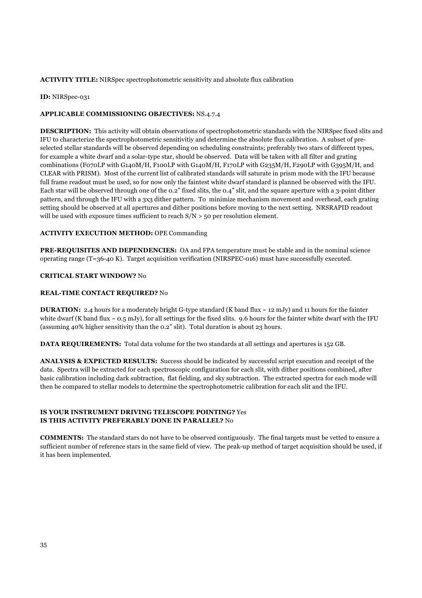# **ACTIVITY TITLE:** NIRSpec spectrophotometric sensitivity and absolute flux calibration

#### **ID:** NIRSpec-031

#### **APPLICABLE COMMISSIONING OBJECTIVES:** NS.4.7.4

**DESCRIPTION:** This activity will obtain observations of spectrophotometric standards with the NIRSpec fixed slits and IFU to characterize the spectrophotometric sensitivitiy and determine the absolute flux calibration. A subset of preselected stellar standards will be observed depending on scheduling constraints; preferably two stars of different types, for example a white dwarf and a solar-type star, should be observed. Data will be taken with all filter and grating combinations (F070LP with G140M/H, F100LP with G140M/H, F170LP with G235M/H, F290LP with G395M/H, and CLEAR with PRISM). Most of the current list of calibrated standards will saturate in prism mode with the IFU because full frame readout must be used, so for now only the faintest white dwarf standard is planned be observed with the IFU. Each star will be observed through one of the 0.2" fixed slits, the 0.4" slit, and the square aperture with a 3-point dither pattern, and through the IFU with a 3x3 dither pattern. To minimize mechanism movement and overhead, each grating setting should be observed at all apertures and dither positions before moving to the next setting. NRSRAPID readout will be used with exposure times sufficient to reach  $S/N > 50$  per resolution element.

#### **ACTIVITY EXECUTION METHOD:** OPE Commanding

**PRE-REQUISITES AND DEPENDENCIES:** OA and FPA temperature must be stable and in the nominal science operating range (T=36-40 K). Target acquisition verification (NIRSPEC-016) must have successfully executed.

# **CRITICAL START WINDOW?** No

#### **REAL-TIME CONTACT REQUIRED?** No

**DURATION:** 2.4 hours for a moderately bright G-type standard (K band flux  $\sim$  12 mJy) and 11 hours for the fainter white dwarf (K band flux  $\sim$  0.5 mJy), for all settings for the fixed slits. 9.6 hours for the fainter white dwarf with the IFU (assuming 40% higher sensitivity than the 0.2" slit). Total duration is about 23 hours.

**DATA REQUIREMENTS:** Total data volume for the two standards at all settings and apertures is 152 GB.

**ANALYSIS & EXPECTED RESULTS:** Success should be indicated by successful script execution and receipt of the data. Spectra will be extracted for each spectroscopic configuration for each slit, with dither positions combined, after basic calibration including dark subtraction, flat fielding, and sky subtraction. The extracted spectra for each mode will then be compared to stellar models to determine the spectrophotometric calibration for each slit and the IFU.

#### **IS YOUR INSTRUMENT DRIVING TELESCOPE POINTING?** Yes **IS THIS ACTIVITY PREFERABLY DONE IN PARALLEL?** No

**COMMENTS:** The standard stars do not have to be observed contiguously. The final targets must be vetted to ensure a sufficient number of reference stars in the same field of view. The peak-up method of target acquisition should be used, if it has been implemented.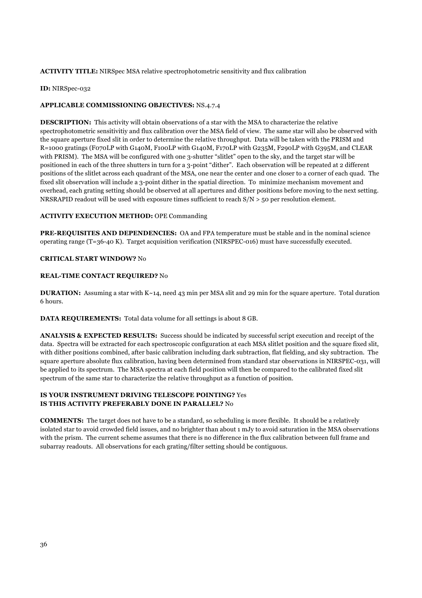# **ACTIVITY TITLE:** NIRSpec MSA relative spectrophotometric sensitivity and flux calibration

# **ID:** NIRSpec-032

# **APPLICABLE COMMISSIONING OBJECTIVES:** NS.4.7.4

**DESCRIPTION:** This activity will obtain observations of a star with the MSA to characterize the relative spectrophotometric sensitivitiy and flux calibration over the MSA field of view. The same star will also be observed with the square aperture fixed slit in order to determine the relative throughput. Data will be taken with the PRISM and R=1000 gratings (F070LP with G140M, F100LP with G140M, F170LP with G235M, F290LP with G395M, and CLEAR with PRISM). The MSA will be configured with one 3-shutter "slitlet" open to the sky, and the target star will be positioned in each of the three shutters in turn for a 3-point "dither". Each observation will be repeated at 2 different positions of the slitlet across each quadrant of the MSA, one near the center and one closer to a corner of each quad. The fixed slit observation will include a 3-point dither in the spatial direction. To minimize mechanism movement and overhead, each grating setting should be observed at all apertures and dither positions before moving to the next setting. NRSRAPID readout will be used with exposure times sufficient to reach  $S/N > 50$  per resolution element.

# **ACTIVITY EXECUTION METHOD:** OPE Commanding

**PRE-REQUISITES AND DEPENDENCIES:** OA and FPA temperature must be stable and in the nominal science operating range (T=36-40 K). Target acquisition verification (NIRSPEC-016) must have successfully executed.

# **CRITICAL START WINDOW?** No

# **REAL-TIME CONTACT REQUIRED?** No

**DURATION:** Assuming a star with K~14, need 43 min per MSA slit and 29 min for the square aperture. Total duration 6 hours.

**DATA REQUIREMENTS:** Total data volume for all settings is about 8 GB.

**ANALYSIS & EXPECTED RESULTS:** Success should be indicated by successful script execution and receipt of the data. Spectra will be extracted for each spectroscopic configuration at each MSA slitlet position and the square fixed slit, with dither positions combined, after basic calibration including dark subtraction, flat fielding, and sky subtraction. The square aperture absolute flux calibration, having been determined from standard star observations in NIRSPEC-031, will be applied to its spectrum. The MSA spectra at each field position will then be compared to the calibrated fixed slit spectrum of the same star to characterize the relative throughput as a function of position.

# **IS YOUR INSTRUMENT DRIVING TELESCOPE POINTING?** Yes **IS THIS ACTIVITY PREFERABLY DONE IN PARALLEL?** No

**COMMENTS:** The target does not have to be a standard, so scheduling is more flexible. It should be a relatively isolated star to avoid crowded field issues, and no brighter than about 1 mJy to avoid saturation in the MSA observations with the prism. The current scheme assumes that there is no difference in the flux calibration between full frame and subarray readouts. All observations for each grating/filter setting should be contiguous.